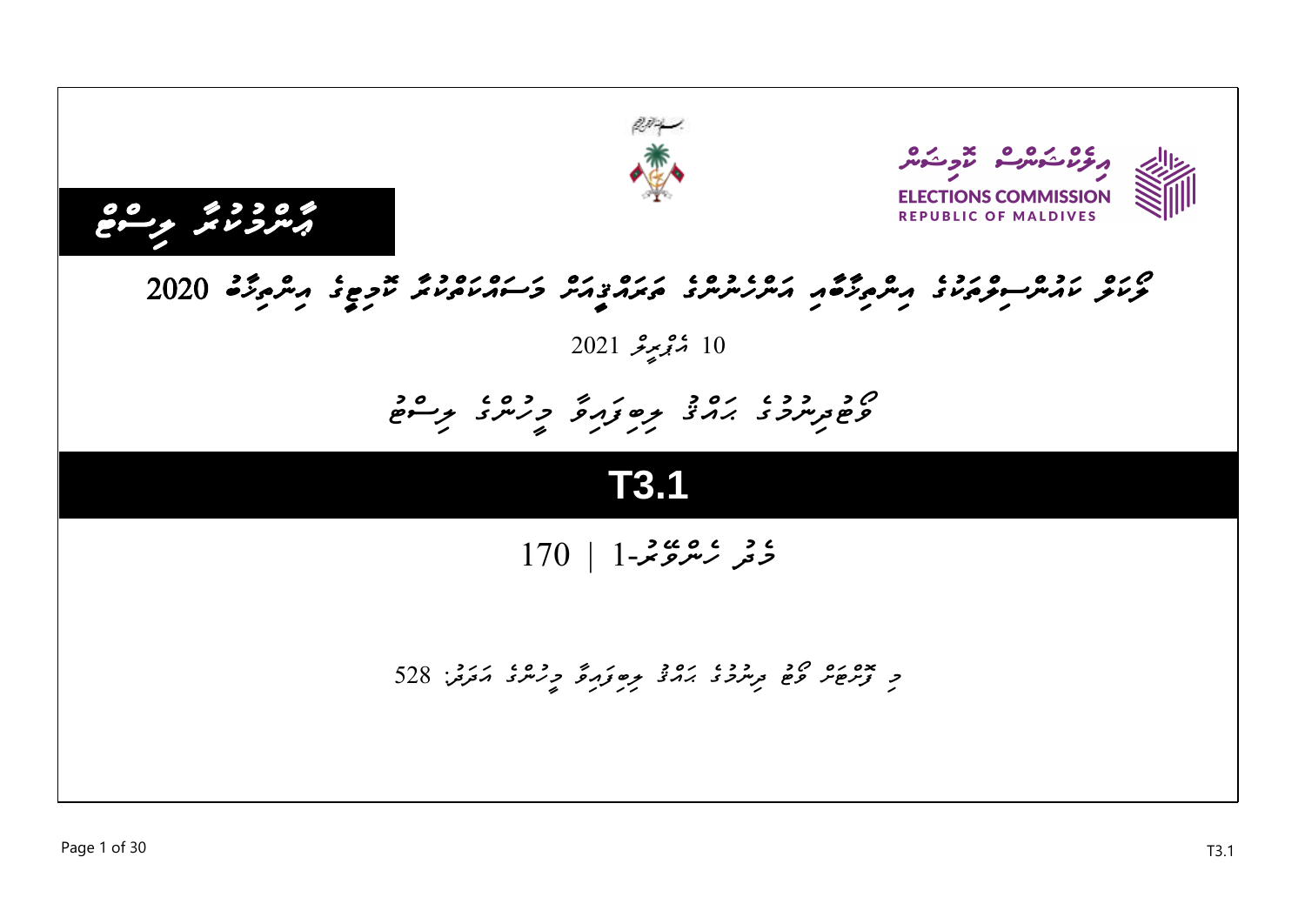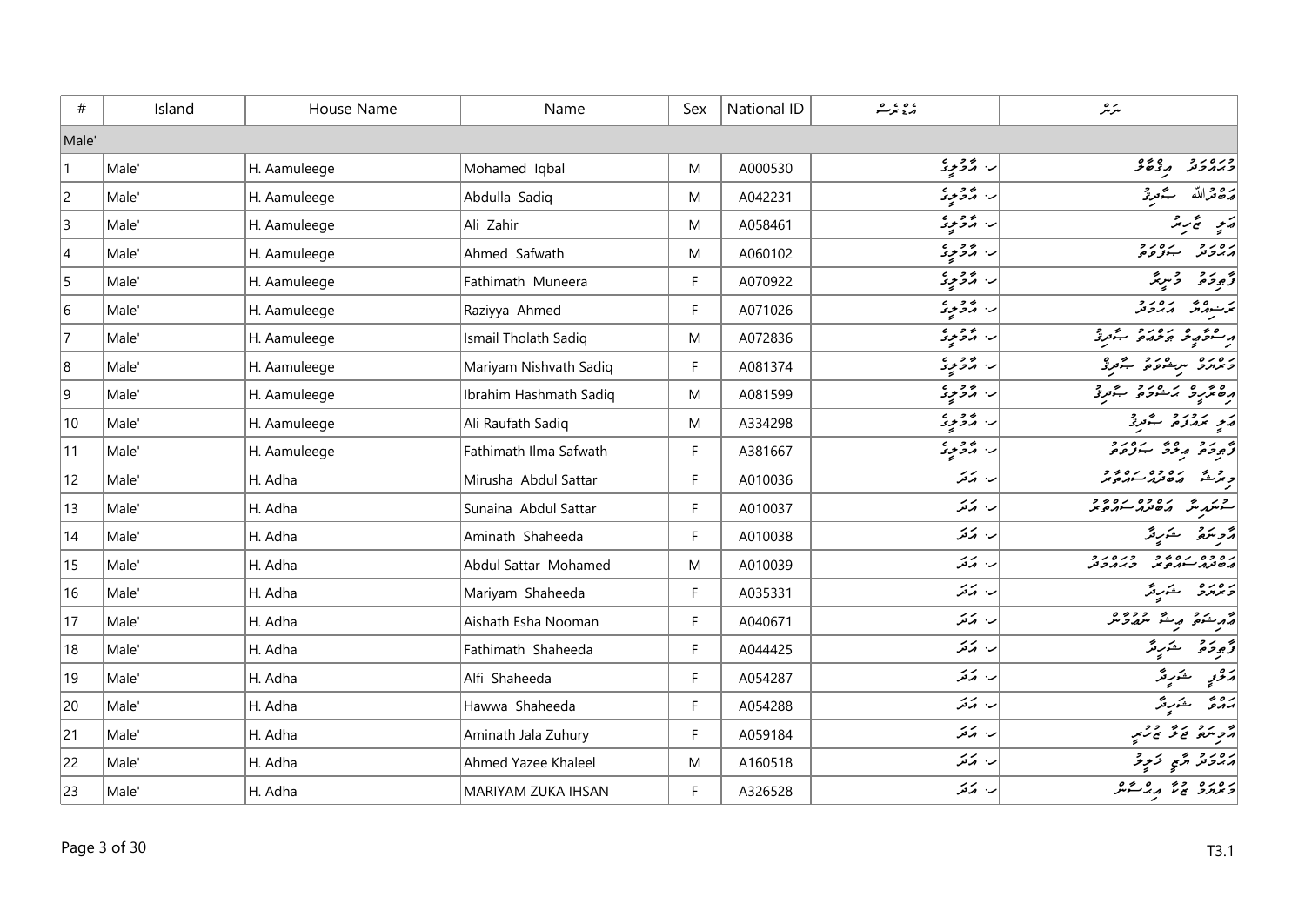| #              | Island | House Name   | Name                   | Sex       | National ID | ېره پر شه    | ىئرىتر                                                 |
|----------------|--------|--------------|------------------------|-----------|-------------|--------------|--------------------------------------------------------|
| Male'          |        |              |                        |           |             |              |                                                        |
| $\mathbf{1}$   | Male'  | H. Aamuleege | Mohamed Iqbal          | ${\sf M}$ | A000530     | ر. ئۇقرىي    | כנסנכ השפט<br>כ <i>ג</i> ונכנ הצ <b>ש</b> ל            |
| 2              | Male'  | H. Aamuleege | Abdulla Sadiq          | M         | A042231     | ر. ئۇ ئەمۇرى | رە قراللە گەمرچ                                        |
| $\vert$ 3      | Male'  | H. Aamuleege | Ali Zahir              | M         | A058461     | ر. د څونونو  | ەكمىي ئىچرىد                                           |
| $\overline{4}$ | Male'  | H. Aamuleege | Ahmed Safwath          | M         | A060102     | ر. گەۋىۋە    | ره رو ده رو<br>دروند خوده                              |
| $\overline{5}$ | Male'  | H. Aamuleege | Fathimath Muneera      | F         | A070922     | ر. ئۇ ئەمۇرى | ژودۇ دىپ                                               |
| $\overline{6}$ | Male'  | H. Aamuleege | Raziyya Ahmed          | F         | A071026     | ر. "د ژويز   | برسود بره دو                                           |
| 7              | Male'  | H. Aamuleege | Ismail Tholath Sadiq   | ${\sf M}$ | A072836     | ر. ئۇ ئەمۇرى | م سوځ مړۍ ده د د شورته                                 |
| 8              | Male'  | H. Aamuleege | Mariyam Nishvath Sadiq | F         | A081374     | ر. گەۋىۋە    | رەرە سرشوە جەم                                         |
| 9              | Male'  | H. Aamuleege | Ibrahim Hashmath Sadiq | ${\sf M}$ | A081599     | ر، ئەۋىۋە    | ە ئەرەب دەرە ئەرەبىيە                                  |
| $ 10\rangle$   | Male'  | H. Aamuleege | Ali Raufath Sadiq      | M         | A334298     | ر، ئەۋىۋە    | ړې پرور د شور                                          |
| 11             | Male'  | H. Aamuleege | Fathimath Ilma Safwath | F         | A381667     | ر. "د ژويز   | ژوژه ډیژگ ښووه                                         |
| 12             | Male'  | H. Adha      | Mirusha Abdul Sattar   | F         | A010036     | ر . مرکز     | د د محمد ده ده ده د و د<br>د برخهٔ در ه ترم سرموند     |
| 13             | Male'  | H. Adha      | Sunaina Abdul Sattar   | F         | A010037     | ر . مرکز     | د مرد شهر ده وه ده ۶۶۰<br>سامتر شهر شهر شهر موجد       |
| 14             | Male'  | H. Adha      | Aminath Shaheeda       | F         | A010038     | ر . مرکز     | أمُّحرِ سَوَ سُوَرِ مُّذَا لِهِ مُّذَا لِهِ مُ         |
| 15             | Male'  | H. Adha      | Abdul Sattar Mohamed   | ${\sf M}$ | A010039     | ر . مرکز     | נסכם נסמכ כנסנכ<br>הם <i>נה ייחידות</i> כ <i>גהכ</i> ת |
| 16             | Male'  | H. Adha      | Mariyam Shaheeda       | F         | A035331     | ر . مرکز     | و مرد و سکورنگر                                        |
| 17             | Male'  | H. Adha      | Aishath Esha Nooman    | F         | A040671     | ر . مرکز     | م دينو مثم سمدة م                                      |
| 18             | Male'  | H. Adha      | Fathimath Shaheeda     | F         | A044425     | ر . مرکز     | تزجوخا مشريته                                          |
| 19             | Male'  | H. Adha      | Alfi Shaheeda          | F         | A054287     | ر . مرکز     | كالحرو التكاريم                                        |
| 20             | Male'  | H. Adha      | Hawwa Shaheeda         | F         | A054288     | ر . مرکز     | رەپ <sub>ە ش</sub> ىرىگە                               |
| 21             | Male'  | H. Adha      | Aminath Jala Zuhury    | F         | A059184     | ر . مرکز     | أأدوسكم فأولا والمحاربي                                |
| 22             | Male'  | H. Adha      | Ahmed Yazee Khaleel    | M         | A160518     | ر . مرکز     | ړه دی گړې تروی                                         |
| 23             | Male'  | H. Adha      | MARIYAM ZUKA IHSAN     | F         | A326528     | ر . مرکز     | رەرە دە مەركىگ                                         |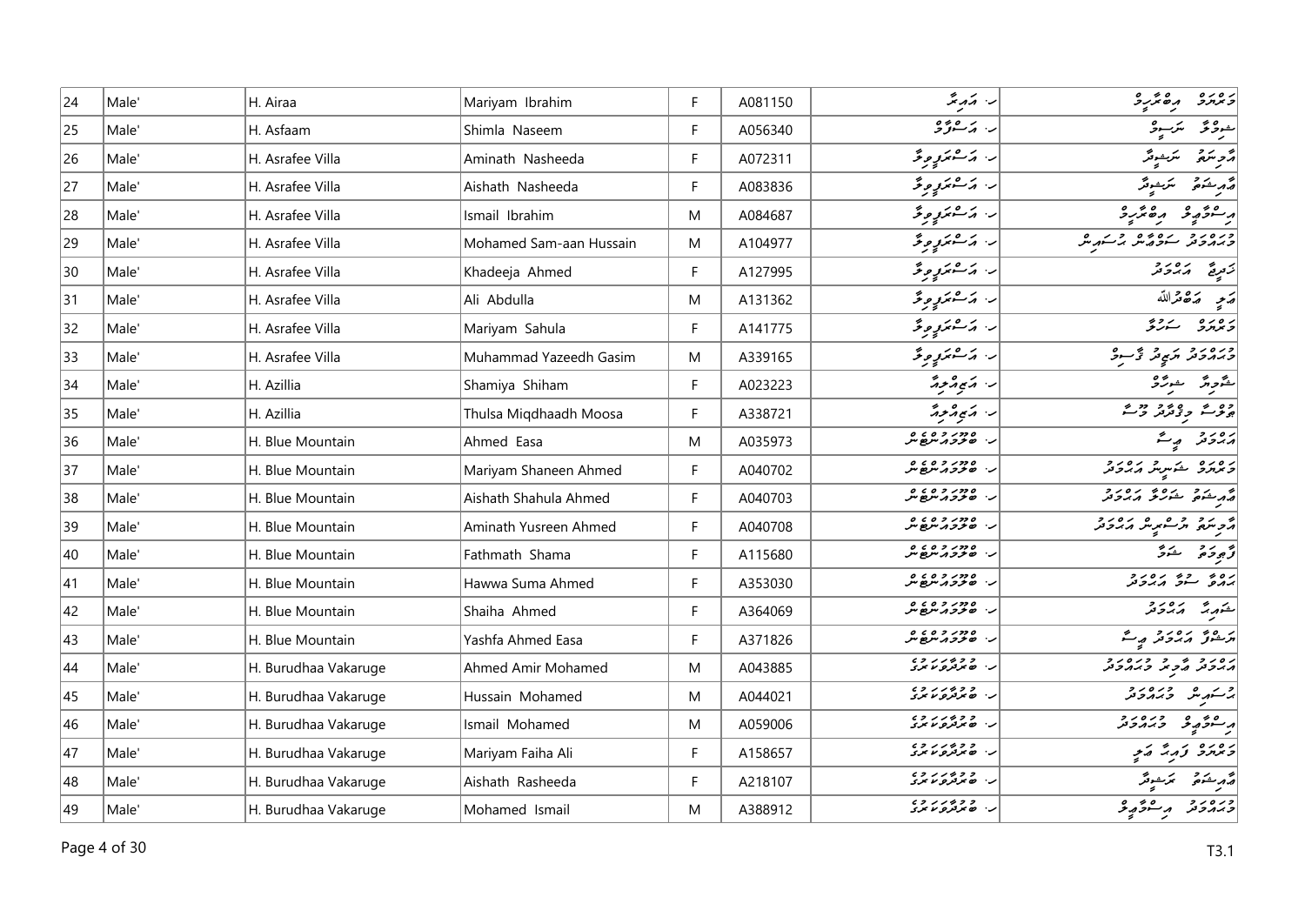| 24           | Male' | H. Airaa             | Mariyam Ibrahim         | F           | A081150 | ر . مَام بخر                                   | ەھ ئرىر ۋ<br>ر ه ر ه<br>د بربرگ                                                                                                                                                                                                  |
|--------------|-------|----------------------|-------------------------|-------------|---------|------------------------------------------------|----------------------------------------------------------------------------------------------------------------------------------------------------------------------------------------------------------------------------------|
| 25           | Male' | H. Asfaam            | Shimla Naseem           | F           | A056340 | ر. بر حود و                                    | شەۋگە<br>ىئرسەۋ                                                                                                                                                                                                                  |
| 26           | Male' | H. Asrafee Villa     | Aminath Nasheeda        | F           | A072311 | ر. ئەسىمئورىۋ                                  | ړځ سره<br>سكرشوقر                                                                                                                                                                                                                |
| 27           | Male' | H. Asrafee Villa     | Aishath Nasheeda        | E           | A083836 | ر. ئەسىمئەرەپچە                                | و<br>پر گر شکو<br>سكرشوقر                                                                                                                                                                                                        |
| 28           | Male' | H. Asrafee Villa     | Ismail Ibrahim          | M           | A084687 | ر. ئەسەئمۇ يەقە                                | بر عرصو و معرب                                                                                                                                                                                                                   |
| 29           | Male' | H. Asrafee Villa     | Mohamed Sam-aan Hussain | M           | A104977 | ر. ئەسەنمۇروق                                  | ورەرو بەەبەھ بەسكەش                                                                                                                                                                                                              |
| 30           | Male' | H. Asrafee Villa     | Khadeeja Ahmed          | F           | A127995 | ر . ئەشقۇر يۇ ئ                                | زَمْرِيحَ 1.25 مَر                                                                                                                                                                                                               |
| 31           | Male' | H. Asrafee Villa     | Ali Abdulla             | M           | A131362 | ر. ئەسەئىرۇ ھەقە                               | أقه قائد الله                                                                                                                                                                                                                    |
| 32           | Male' | H. Asrafee Villa     | Mariyam Sahula          | F.          | A141775 | ر. ئەسەندۇپرۇ                                  | رەرە سەدىۋ                                                                                                                                                                                                                       |
| 33           | Male' | H. Asrafee Villa     | Muhammad Yazeedh Gasim  | M           | A339165 | ر. ئەسىمئوپوتۇ                                 | وره رو برېږو ژبو                                                                                                                                                                                                                 |
| 34           | Male' | H. Azillia           | Shamiya Shiham          | F           | A023223 | ر بە ئەرمۇر                                    | كالمحرور المستركر                                                                                                                                                                                                                |
| 35           | Male' | H. Azillia           | Thulsa Miqdhaadh Moosa  | F.          | A338721 | ر. הَي مُرْحِهُ                                | وه عمل الله و الله و الله<br>  وه عمل عمل الله و الله و السنة                                                                                                                                                                    |
| 36           | Male' | H. Blue Mountain     | Ahmed Easa              | M           | A035973 | ە «دىروە» ھ<br>رەھىرى سرچىش                    | برەر ئەرگ                                                                                                                                                                                                                        |
| 37           | Male' | H. Blue Mountain     | Mariyam Shaneen Ahmed   | $\mathsf F$ | A040702 | ە «دىر دە » ە<br>رەسى ھەر ئىس ھەس              | ז 2010 ביתות הזכת                                                                                                                                                                                                                |
| 38           | Male' | H. Blue Mountain     | Aishath Shahula Ahmed   | F           | A040703 | ە «دروە» ە<br>ر. ھۈۋەسرىھىر                    | ه د شکوه استان کرد و در و استان کرد و در استان کرد و در استان کرد و در استان کرد و در استان کرد که در استان کر<br>استان کرد که در استان کرد که در سال کرد و در استان کرد و در استان کرد که در استان کرد که در استان کرد کرد که د |
| 39           | Male' | H. Blue Mountain     | Aminath Yusreen Ahmed   | F.          | A040708 | ە «دىر دە » »<br>پەسىم ھەر بىر ھەش             | وحريرة وحسيريثر وبردور                                                                                                                                                                                                           |
| 40           | Male' | H. Blue Mountain     | Fathmath Shama          | F.          | A115680 | ە دەرىرە دەرە<br>ر. ھۆدمەس                     | وَجِوحَ حَمَدَ حَسَنَةِ                                                                                                                                                                                                          |
| 41           | Male' | H. Blue Mountain     | Hawwa Suma Ahmed        | F           | A353030 | ە دەر دەپ مە<br>سەھ <i>ود مەس</i> ھىر          | رەپ دەردە                                                                                                                                                                                                                        |
| 42           | Male' | H. Blue Mountain     | Shaiha Ahmed            | F.          | A364069 | ه در د و ه ه و و.<br>صوبې د سرچ س              | شكار مجماد ورود                                                                                                                                                                                                                  |
| $ 43\rangle$ | Male' | H. Blue Mountain     | Yashfa Ahmed Easa       | F           | A371826 | ە «دىروە» ھ<br>سەھەد مەسبى                     | بر وی بروبر و گ<br>مرشوق مهرومر و گ                                                                                                                                                                                              |
| 44           | Male' | H. Burudhaa Vakaruge | Ahmed Amir Mohamed      | M           | A043885 | و و بر ر و د<br>ر ۰ م <i>ه برترو با بو</i> ر   | גפנג הבית בגם בב                                                                                                                                                                                                                 |
| 45           | Male' | H. Burudhaa Vakaruge | Hussain Mohamed         | M           | A044021 | و و د بر ر و د<br>ر ۰ ن مرتزو <i>با بو</i> ی   | وكرمر وره دو                                                                                                                                                                                                                     |
| 46           | Male' | H. Burudhaa Vakaruge | Ismail Mohamed          | M           | A059006 | و و بر ر و د<br>ر ۰ م <i>ه برترو با بو</i> ر   | ړ هغږ وره ده.                                                                                                                                                                                                                    |
| 47           | Male' | H. Burudhaa Vakaruge | Mariyam Faiha Ali       | F           | A158657 | و و بر ر و د<br>ر ۰ م <i>ه برترو با بو</i> ر   | د وړه وربر ترو                                                                                                                                                                                                                   |
| 48           | Male' | H. Burudhaa Vakaruge | Aishath Rasheeda        | F           | A218107 | - د و و ر د و و و<br>ر ۰ مه ترکرو لا بوری      | لأمر شكافها المركب وكر                                                                                                                                                                                                           |
| 49           | Male' | H. Burudhaa Vakaruge | Mohamed Ismail          | M           | A388912 | د - 3 و 2 در و د<br>ر - ن مرتزو <i>ما بو</i> ی | ورەرو مەشرەپر                                                                                                                                                                                                                    |
|              |       |                      |                         |             |         |                                                |                                                                                                                                                                                                                                  |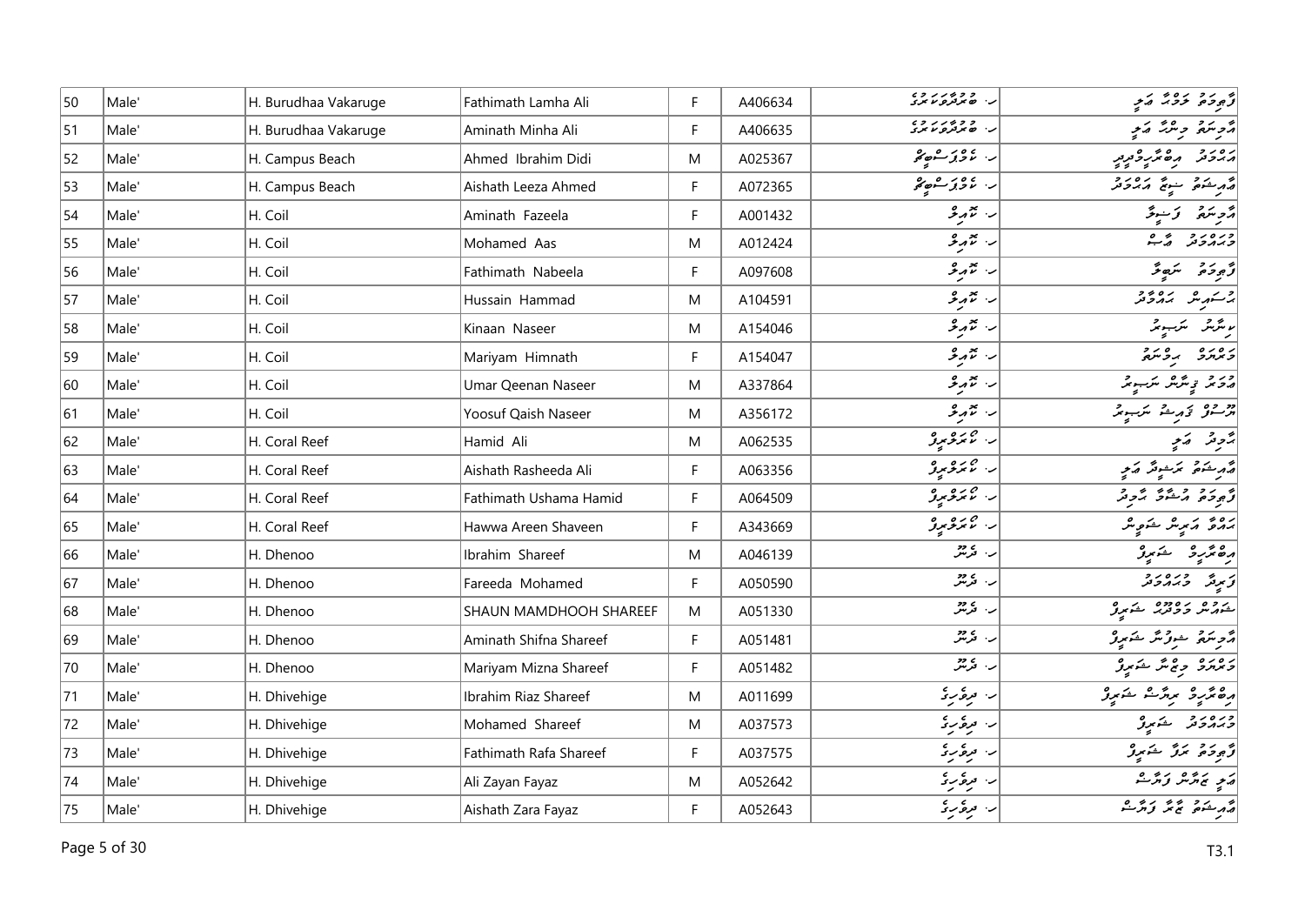| 50 | Male' | H. Burudhaa Vakaruge | Fathimath Lamha Ali    | F         | A406634 | د و و در د د د<br>ر ۰ مه ترو <i>و ما بو</i> ی | وَّجْوَدَةَ وَدْءٌ مَنْ               |
|----|-------|----------------------|------------------------|-----------|---------|-----------------------------------------------|---------------------------------------|
| 51 | Male' | H. Burudhaa Vakaruge | Aminath Minha Ali      | F         | A406635 | د و و در د د د<br>ر۰ ه مرترو <i>ما بو</i> ی   | أأزوبتهم وبثرثه أأو                   |
| 52 | Male' | H. Campus Beach      | Ahmed Ibrahim Didi     | ${\sf M}$ | A025367 | ر ، ، ، دې سوچ                                | , ס , כ , ק <i>י י ק פיקיק</i>        |
| 53 | Male' | H. Campus Beach      | Aishath Leeza Ahmed    | F         | A072365 | $80 - 196$                                    |                                       |
| 54 | Male' | H. Coil              | Aminath Fazeela        | F         | A001432 | ر، ئامرىۋ                                     | أدويتما وتسوقر                        |
| 55 | Male' | H. Coil              | Mohamed Aas            | M         | A012424 | ر، ئامرچ                                      | وره د و و                             |
| 56 | Male' | H. Coil              | Fathimath Nabeela      | F         | A097608 | ر، ئامرىۋ                                     | أزودة سكوتر                           |
| 57 | Male' | H. Coil              | Hussain Hammad         | M         | A104591 | ر، ئامرىۋ                                     | ج سکه شهر مره د و د                   |
| 58 | Male' | H. Coil              | Kinaan Naseer          | ${\sf M}$ | A154046 | ر، ئامرىۋ                                     | برنترش الكرسونر                       |
| 59 | Male' | H. Coil              | Mariyam Himnath        | F         | A154047 | ر، ئامرىۋ                                     | و ده ده در د                          |
| 60 | Male' | H. Coil              | Umar Qeenan Naseer     | M         | A337864 | ر، ئەمرىۋ                                     | ور و پر مگر مگر ب                     |
| 61 | Male' | H. Coil              | Yoosuf Qaish Naseer    | ${\sf M}$ | A356172 | ر، ئىم يۇ                                     | وريدوه والمرسفة الكرسومة              |
| 62 | Male' | H. Coral Reef        | Hamid Ali              | ${\sf M}$ | A062535 | ر، ئائرۇپرۇ                                   | پڑونڈ   پرکمبر                        |
| 63 | Male' | H. Coral Reef        | Aishath Rasheeda Ali   | F         | A063356 | ر. ئەبزۇبرۇ                                   | و<br>مەرشۇم ترشونز مە                 |
| 64 | Male' | H. Coral Reef        | Fathimath Ushama Hamid | F         | A064509 | ر. ئاترۋىرۇ                                   | و و د د مشور مرد د                    |
| 65 | Male' | H. Coral Reef        | Hawwa Areen Shaveen    | F         | A343669 | ر، ئائروبرو                                   | بروق كالمريش كحالم يكل                |
| 66 | Male' | H. Dhenoo            | Ibrahim Shareef        | ${\sf M}$ | A046139 | ر. تریژ                                       | رەنۇرۇ خىرۇ                           |
| 67 | Male' | H. Dhenoo            | Fareeda Mohamed        | F         | A050590 | ر. تریژ                                       | توسير وره دو                          |
| 68 | Male' | H. Dhenoo            | SHAUN MAMDHOOH SHAREEF | M         | A051330 | ر به دور                                      | $\frac{1}{2}$                         |
| 69 | Male' | H. Dhenoo            | Aminath Shifna Shareef | F         | A051481 | ر. تریز                                       | أأولله الموثار لتكرو                  |
| 70 | Male' | H. Dhenoo            | Mariyam Mizna Shareef  | F         | A051482 | ر. تریز                                       | د ورو د چ گر ځېږو                     |
| 71 | Male' | H. Dhivehige         | Ibrahim Riaz Shareef   | ${\sf M}$ | A011699 | ر به مورد کرد                                 | رە ئرىرى برىژىش خىمرۇ                 |
| 72 | Male' | H. Dhivehige         | Mohamed Shareef        | ${\sf M}$ | A037573 |                                               | وره د و سندرو                         |
| 73 | Male' | H. Dhivehige         | Fathimath Rafa Shareef | F         | A037575 | ر به عربی<br>مرغ مری                          | أَدْجِ حَاجَ ۚ مَرْتَى ۖ مُسَاسِرِ وَ |
| 74 | Male' | H. Dhivehige         | Ali Zayan Fayaz        | M         | A052642 | ر به مورد کرد<br>مرد مرد                      | ە ئو ئەرگە ئەرمى                      |
| 75 | Male' | H. Dhivehige         | Aishath Zara Fayaz     | F         | A052643 | ر . مرغ برء<br>مر                             |                                       |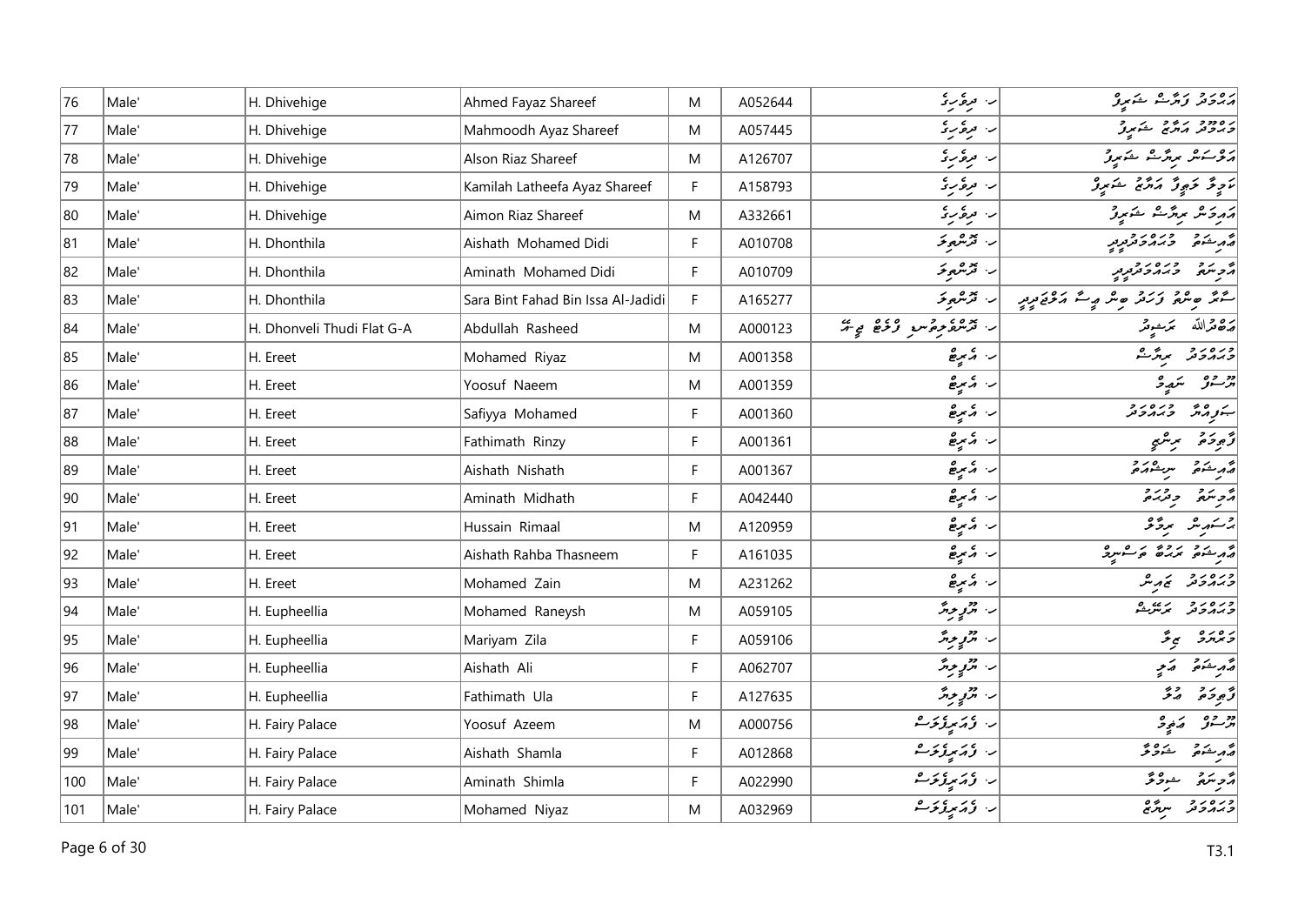| 76  | Male' | H. Dhivehige               | Ahmed Fayaz Shareef                | M         | A052644 | ر. مرځ سر <sup>ي</sup>                    | رور و رو د خپرو                            |
|-----|-------|----------------------------|------------------------------------|-----------|---------|-------------------------------------------|--------------------------------------------|
| 77  | Male' | H. Dhivehige               | Mahmoodh Ayaz Shareef              | M         | A057445 | ر به موقر دی<br>مرغ                       | ر و دد و بر و و بر د                       |
| 78  | Male' | H. Dhivehige               | Alson Riaz Shareef                 | M         | A126707 | ر. مرځ رځ                                 | أروكس برارك كالمرار                        |
| 79  | Male' | H. Dhivehige               | Kamilah Latheefa Ayaz Shareef      | F         | A158793 | ر. مرغ سر <sup>ي</sup>                    | أوقر كوا أرود المرو                        |
| 80  | Male' | H. Dhivehige               | Aimon Riaz Shareef                 | M         | A332661 | ر به موقر کر                              | ر<br>مەركىر برېزىش شىپر                    |
| 81  | Male' | H. Dhonthila               | Aishath Mohamed Didi               | F         | A010708 | ر به تر شهوځه                             | ه دره دره در در د<br>مگه شوه د بر د ترترتر |
| 82  | Male' | H. Dhonthila               | Aminath Mohamed Didi               | F         | A010709 | ر. قرىنقورۇ                               | أأوسره وره رورير                           |
| 83  | Male' | H. Dhonthila               | Sara Bint Fahad Bin Issa Al-Jadidi | F         | A165277 |                                           |                                            |
| 84  | Male' | H. Dhonveli Thudi Flat G-A | Abdullah Rasheed                   | ${\sf M}$ | A000123 | ~ مَرْمْدَةَ مِرْمَسْدِ رُدْعَ مِيَّ يُرْ | أرة فرالله ترشونر                          |
| 85  | Male' | H. Ereet                   | Mohamed Riyaz                      | ${\sf M}$ | A001358 | ر. دګمپوهی                                | כנסנכ בתבים                                |
| 86  | Male' | H. Ereet                   | Yoosuf Naeem                       | M         | A001359 | ر، دېمپره                                 | أور -وه - سرمره                            |
| 87  | Male' | H. Ereet                   | Safiyya Mohamed                    | F         | A001360 | ر، گەمچە                                  | بشوره وره دو                               |
| 88  | Male' | H. Ereet                   | Fathimath Rinzy                    | F         | A001361 | ر ، گرېږچ                                 | قرموخرة مرشعي                              |
| 89  | Male' | H. Ereet                   | Aishath Nishath                    | F         | A001367 | ر، گەنبوھ                                 | و<br>وگهرڪوي سرڪورو                        |
| 90  | Male' | H. Ereet                   | Aminath Midhath                    | F         | A042440 | ر، گرېږچ                                  | أثرم تكبيح ومربر                           |
| 91  | Male' | H. Ereet                   | Hussain Rimaal                     | ${\sf M}$ | A120959 | $rac{c}{\epsilon}$                        | 2سەر ھەمدىمى بىر                           |
| 92  | Male' | H. Ereet                   | Aishath Rahba Thasneem             | F         | A161035 | ر، گەندىقى                                | و مشور برده و مسرو                         |
| 93  | Male' | H. Ereet                   | Mohamed Zain                       | M         | A231262 | ر ، گەمچە                                 | כנסנכ בתי                                  |
| 94  | Male' | H. Eupheellia              | Mohamed Raneysh                    | M         | A059105 | ر. چې وچگ                                 | ورەرو رىي<br>جەمەدىر برىش                  |
| 95  | Male' | H. Eupheellia              | Mariyam Zila                       | F         | A059106 | ر. چې وچگ                                 | د ۶٫۰٫۶ پرځ                                |
| 96  | Male' | H. Eupheellia              | Aishath Ali                        | F         | A062707 | ر. چې وچ                                  | أقرم شنقى الأمج                            |
| 97  | Male' | H. Eupheellia              | Fathimath Ula                      | F         | A127635 | ر. چې د پر                                | و و دو دو                                  |
| 98  | Male' | H. Fairy Palace            | Yoosuf Azeem                       | ${\sf M}$ | A000756 | ر. ۇرىمپەتى ئە                            | دد وه پر ه<br>افرنسو که موج                |
| 99  | Male' | H. Fairy Palace            | Aishath Shamla                     | F         | A012868 | ر، ۇرىمپەتى ئە                            | أقهر مشكم المشاور ومحر                     |
| 100 | Male' | H. Fairy Palace            | Aminath Shimla                     | F         | A022990 | ر. ۇرىمبە ئەس                             | أأتربتهم والحرقر                           |
| 101 | Male' | H. Fairy Palace            | Mohamed Niyaz                      | ${\sf M}$ | A032969 | ر، ۇرىمپەتى ئە                            | כנסנב יטלם                                 |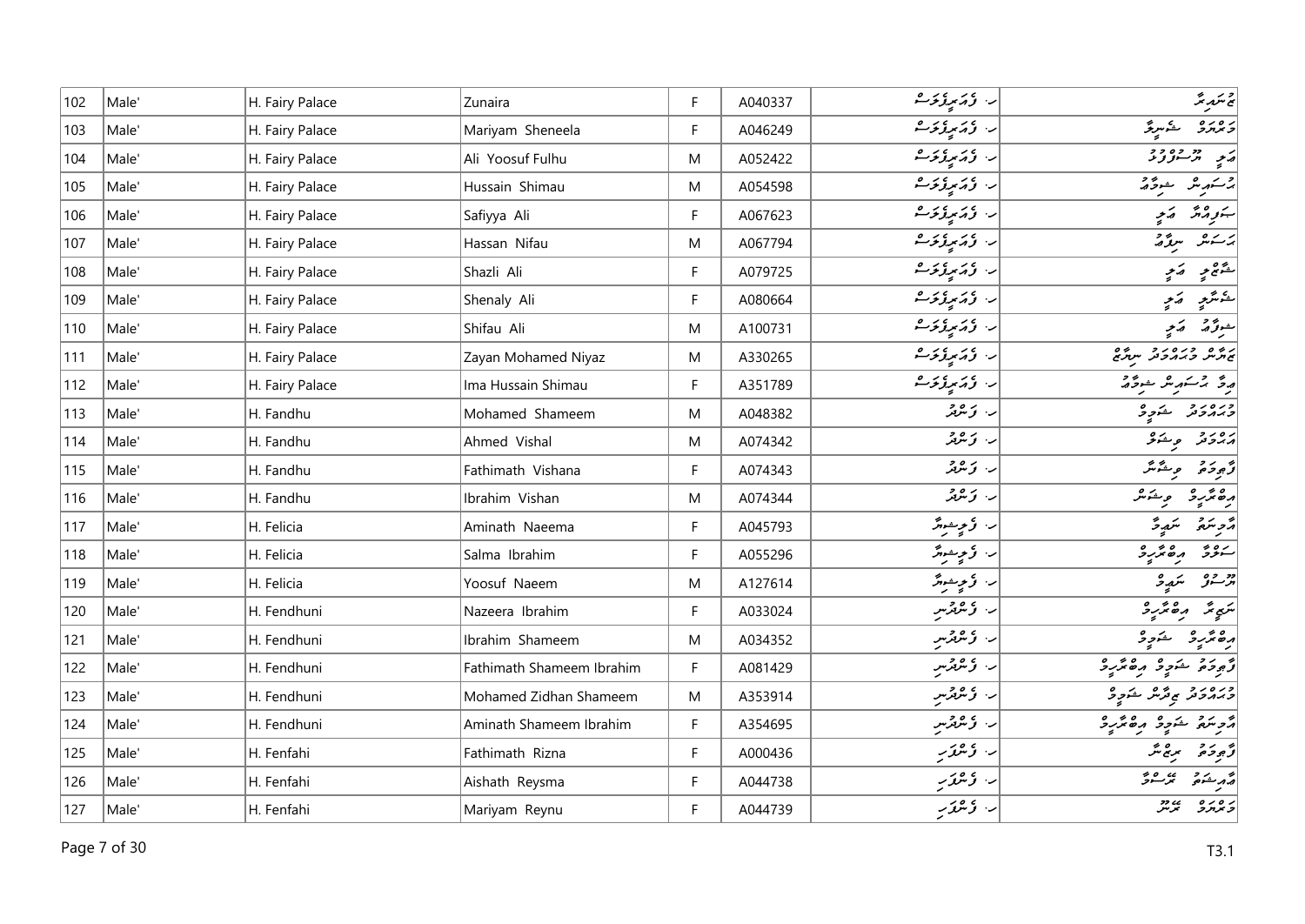| 102 | Male' | H. Fairy Palace | Zunaira                   | F         | A040337 | ر. ۇرىمبە ئەس     | نچ يئرم <sup>ي</sup> ر<br>سنگر        |
|-----|-------|-----------------|---------------------------|-----------|---------|-------------------|---------------------------------------|
| 103 | Male' | H. Fairy Palace | Mariyam Sheneela          | F.        | A046249 | ر، ۇرىمبەئى ئە    | رەرە ئىرىگە                           |
| 104 | Male' | H. Fairy Palace | Ali Yoosuf Fulhu          | M         | A052422 | ر. ۇرئىر ئۇ ئەس   | در دوره دور<br>  در سرگرور            |
| 105 | Male' | H. Fairy Palace | Hussain Shimau            | M         | A054598 | ر. ۇرئىر ئۇ ئەس   | جرحكم مع المستوفية                    |
| 106 | Male' | H. Fairy Palace | Safiyya Ali               | F         | A067623 | ر . د د ټرونوک    | بتوره شمير                            |
| 107 | Male' | H. Fairy Palace | Hassan Nifau              | M         | A067794 | ر . ۋە ئېرىۋىز شە | يركبش سرومي                           |
| 108 | Male' | H. Fairy Palace | Shazli Ali                | F         | A079725 | ر ، ۋەزىردى ئە    | شرچ په ډېر                            |
| 109 | Male' | H. Fairy Palace | Shenaly Ali               | F         | A080664 | ر، ۇرىمبە ئەسى    | شرمثرمج الأمج                         |
| 110 | Male' | H. Fairy Palace | Shifau Ali                | ${\sf M}$ | A100731 | ر، ۋە ئېرتۇنۇپ    | الشووَّة الأمر                        |
| 111 | Male' | H. Fairy Palace | Zayan Mohamed Niyaz       | M         | A330265 | ر. ۋە ئېرتۇنۇپ    | גור כנסגר תואר                        |
| 112 | Male' | H. Fairy Palace | Ima Hussain Shimau        | F.        | A351789 | ر. ۇرئىر ئۇ ئەس   | رۇ جاسكىرىگە شوڭە                     |
| 113 | Male' | H. Fandhu       | Mohamed Shameem           | M         | A048382 | ر. تۆشۈر          | وره رو شوره                           |
| 114 | Male' | H. Fandhu       | Ahmed Vishal              | M         | A074342 | ر . تۇشرىتر       | رەرد ھىشكى                            |
| 115 | Male' | H. Fandhu       | Fathimath Vishana         | F         | A074343 | ر. تۆشۈش          | أؤجرتمو ويشتر                         |
| 116 | Male' | H. Fandhu       | Ibrahim Vishan            | M         | A074344 | ر. ۇىئەتر         | أرەنزىر وخىش                          |
| 117 | Male' | H. Felicia      | Aminath Naeema            | F         | A045793 | ر. گرمچیشونگر     |                                       |
| 118 | Male' | H. Felicia      | Salma Ibrahim             | F         | A055296 | <br> - كور مشورگر | وە ئەربە<br> روء                      |
| 119 | Male' | H. Felicia      | Yoosuf Naeem              | M         | A127614 | ر. ۇرمىدۇر        | سمەيە<br>دو به ده<br>مرسسو            |
| 120 | Male' | H. Fendhuni     | Nazeera Ibrahim           | F         | A033024 | ر. ۇھەرس          | ڔۿؠڒڕۯ<br>ىئىي تىگە                   |
| 121 | Male' | H. Fendhuni     | Ibrahim Shameem           | M         | A034352 | ر. ۇيروگرىن       | ە ھەترىرى<br>بەھەترىرى<br>ڪ <i>دي</i> |
| 122 | Male' | H. Fendhuni     | Fathimath Shameem Ibrahim | F         | A081429 | ر. ۇيۇرلىر        | $rac{1}{2}$                           |
| 123 | Male' | H. Fendhuni     | Mohamed Zidhan Shameem    | M         | A353914 | ر. ۇنكروگرىنز     | כנסגב <sub>ת</sub> מ"ל בובב           |
| 124 | Male' | H. Fendhuni     | Aminath Shameem Ibrahim   | F         | A354695 | ر. ۇنكروگرىنز     | أدوسم يحذروا المعتربة                 |
| 125 | Male' | H. Fenfahi      | Fathimath Rizna           | F         | A000436 | ر. ۇرمۇر          | قوم من المستحدة                       |
| 126 | Male' | H. Fenfahi      | Aishath Reysma            | F.        | A044738 | ر. ۇشۇر           | تترشق<br>پ <sup>و</sup> پر ڪو         |
| 127 | Male' | H. Fenfahi      | Mariyam Reynu             | F         | A044739 | ر. ۇشۇر           | י ס י ס מי מי.<br>כי מחיק מי יות      |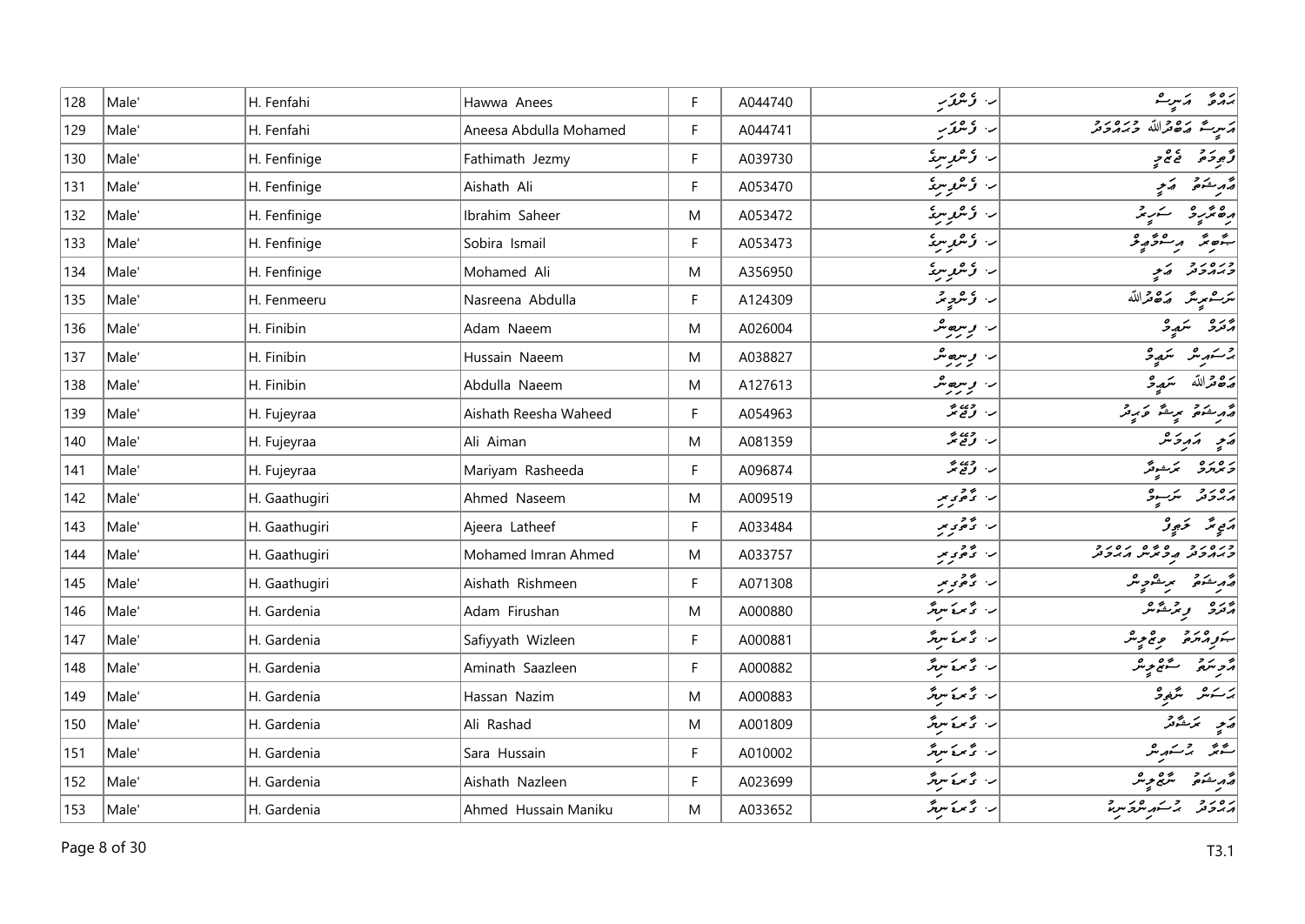| 128 | Male' | H. Fenfahi    | Hawwa Anees            | F  | A044740 | ر. ۇشۇر                    | برە ئەسرى                             |
|-----|-------|---------------|------------------------|----|---------|----------------------------|---------------------------------------|
| 129 | Male' | H. Fenfahi    | Aneesa Abdulla Mohamed | F  | A044741 | ر. ۇغۇر                    | أرسية رودالله وبرورو                  |
| 130 | Male' | H. Fenfinige  | Fathimath Jezmy        | F  | A039730 | - د هرسو                   | وَجِوحَةً فَيَ حَمٍّ                  |
| 131 | Male' | H. Fenfinige  | Aishath Ali            | F  | A053470 | ر. ۇغرىسىدى                | أقهر مشقرة الأمر                      |
| 132 | Male' | H. Fenfinige  | Ibrahim Saheer         | M  | A053472 | ر. ۇشرېبرگە                |                                       |
| 133 | Male' | H. Fenfinige  | Sobira Ismail          | F  | A053473 | ر. ۇشرىرى                  |                                       |
| 134 | Male' | H. Fenfinige  | Mohamed Ali            | M  | A356950 | ر. ۇشرېبرگە                | ورەر دېد                              |
| 135 | Male' | H. Fenmeeru   | Nasreena Abdulla       | F  | A124309 | ر. ئۇنگەچە ئە              | بتر عبير محدثة الله                   |
| 136 | Male' | H. Finibin    | Adam Naeem             | M  | A026004 | ر. و سرچينگر               | أزمره سمده                            |
| 137 | Male' | H. Finibin    | Hussain Naeem          | M  | A038827 | ر، وسعام                   | 2 سەر سىر سىر                         |
| 138 | Male' | H. Finibin    | Abdulla Naeem          | M  | A127613 | ر. و سرچ مگر               | پر ۱۳۵۵ سمع د                         |
| 139 | Male' | H. Fujeyraa   | Aishath Reesha Waheed  | F  | A054963 | ر به وړه پر<br>ر بانو چر   | و<br>درخو برځ ورته                    |
| 140 | Male' | H. Fujeyraa   | Ali Aiman              | M  | A081359 | ر . ون بر<br>ر . وقع بر    | ړې په دې                              |
| 141 | Male' | H. Fujeyraa   | Mariyam Rasheeda       | F  | A096874 | ر. وَيْعَ بَرُّ            | و مره کردونگر                         |
| 142 | Male' | H. Gaathugiri | Ahmed Naseem           | M  | A009519 | ر په نوموننو<br>ر کانونونو | دەرو ترىپوۋ                           |
| 143 | Male' | H. Gaathugiri | Ajeera Latheef         | F  | A033484 | ر، گەنجە بىر               | أربيء تزبور                           |
| 144 | Male' | H. Gaathugiri | Mohamed Imran Ahmed    | M  | A033757 | ر، دې د بر                 | כנסנכן ספס נסנכ<br>כמהכני הכתיי המכני |
| 145 | Male' | H. Gaathugiri | Aishath Rishmeen       | F. | A071308 | ر به نومونیو<br>ر که نومون | أقهر شدة المريشوج مثل                 |
| 146 | Male' | H. Gardenia   | Adam Firushan          | M  | A000880 | را لا تحريم مرير           | أرتده وبرشر                           |
| 147 | Male' | H. Gardenia   | Safiyyath Wizleen      | F  | A000881 | را المحمدة مبراثر          | ينورمريز وعويثر                       |
| 148 | Male' | H. Gardenia   | Aminath Saazleen       | F  | A000882 | را المحمدة مبراثر          | أأروبتهم المستقيم ويثر                |
| 149 | Male' | H. Gardenia   | Hassan Nazim           | M  | A000883 | را المجامعة سرمرٌ          | برسك ستبوط                            |
| 150 | Male' | H. Gardenia   | Ali Rashad             | M  | A001809 | را گەندۇمىزىگر             | أوكمني المحر ويحتجم                   |
| 151 | Male' | H. Gardenia   | Sara Hussain           | F  | A010002 | را گەندە ئىرەگە            | ستعر برسمه شهر                        |
| 152 | Male' | H. Gardenia   | Aishath Nazleen        | F. | A023699 | ر. ئەسمەسىر                | ۇرىشقى ئىتى بېرىش                     |
| 153 | Male' | H. Gardenia   | Ahmed Hussain Maniku   | M  | A033652 | ل - محمدة سرمرٌ            | رەرو وسكىر شكىر                       |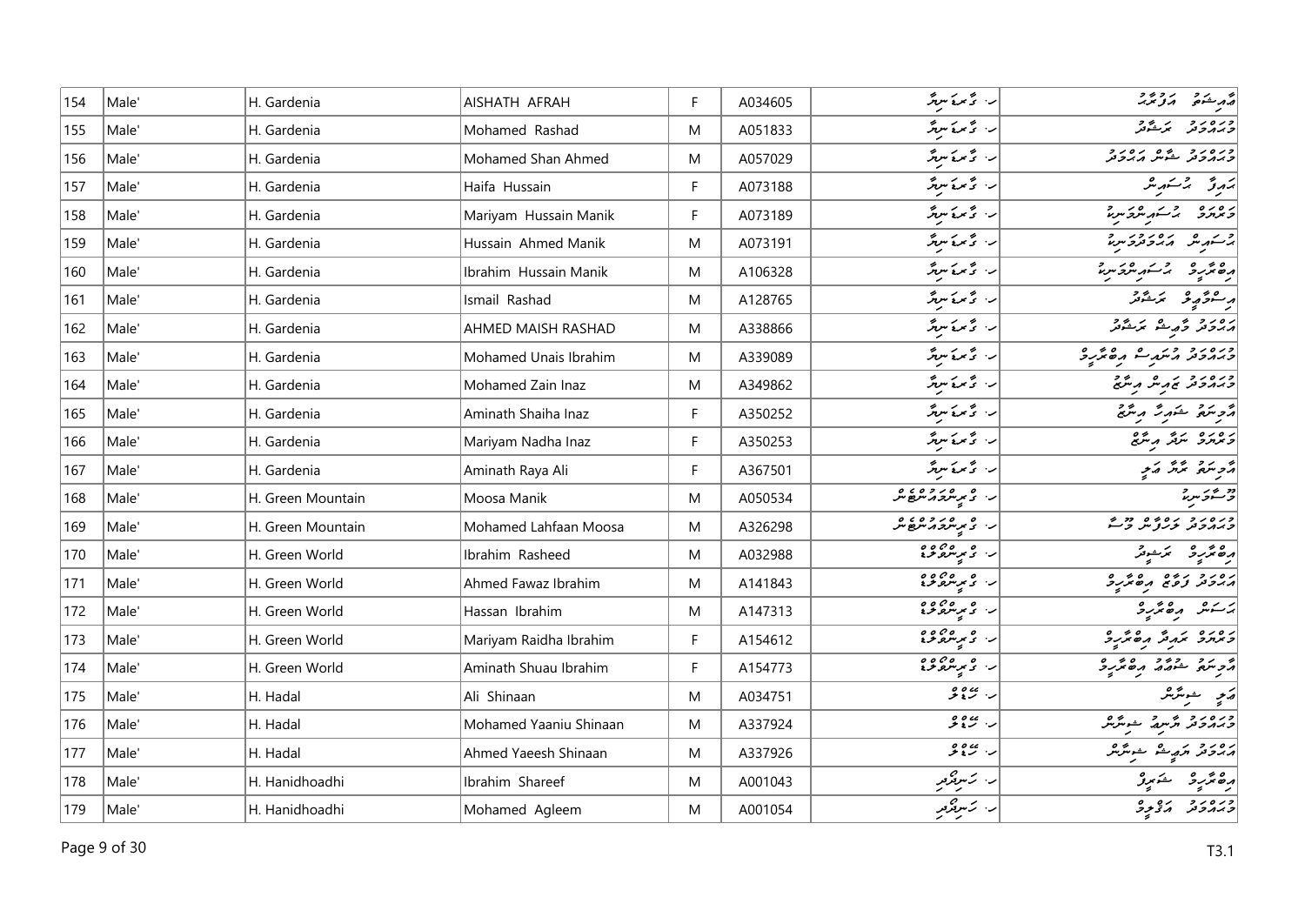| 154 | Male' | H. Gardenia       | AISHATH AFRAH          | F  | A034605 | را گەندە ئىرىد      | ورشاه المرومان                                            |
|-----|-------|-------------------|------------------------|----|---------|---------------------|-----------------------------------------------------------|
| 155 | Male' | H. Gardenia       | Mohamed Rashad         | M  | A051833 | ر، ئەسمەسىر         | ورەر دىرىدە<br><i>دىد</i> ەردىر بۇيشۇنر                   |
| 156 | Male' | H. Gardenia       | Mohamed Shan Ahmed     | M  | A057029 | را گەندە ئىرەگە     | ورەر دېم دەر د<br><i>ويەدونر</i> ئىشىر <i>مەدون</i> ر     |
| 157 | Male' | H. Gardenia       | Haifa Hussain          | F. | A073188 | ر، ئەسمەسىر         | ىكەنى ئەسكەپ                                              |
| 158 | Male' | H. Gardenia       | Mariyam Hussain Manik  | F. | A073189 | را گەندە ئىرىگە     | جر سەر بىر بىر بىر بىر<br>ر ه ر ه<br><del>ر</del> بر بر ژ |
| 159 | Male' | H. Gardenia       | Hussain Ahmed Manik    | M  | A073191 | ر، ئەسمەسىر         | ב ביני המכנביתי                                           |
| 160 | Male' | H. Gardenia       | Ibrahim Hussain Manik  | M  | A106328 | ر، گەندۇسرىگر       | رە ئەر ئەسەر شەر سر                                       |
| 161 | Male' | H. Gardenia       | Ismail Rashad          | M  | A128765 | ر، ئەسمەتىرىد       | ر مو د پر د د                                             |
| 162 | Male' | H. Gardenia       | AHMED MAISH RASHAD     | M  | A338866 | را المحمدة مبراثر   | رەر ئەرشى كرىشى                                           |
| 163 | Male' | H. Gardenia       | Mohamed Unais Ibrahim  | M  | A339089 | را المحمدة مبرمرٌ   | ورەرو وير قرمچرو                                          |
| 164 | Male' | H. Gardenia       | Mohamed Zain Inaz      | M  | A349862 | ر، گەندۇسرگە        | ورورو پروگر مرتگتج                                        |
| 165 | Male' | H. Gardenia       | Aminath Shaiha Inaz    | F  | A350252 | ريدي ميريم          | ومحر سنور المراشح وسترجح                                  |
| 166 | Male' | H. Gardenia       | Mariyam Nadha Inaz     | F  | A350253 | ر و محمدهٔ میزانگر  | دەرە ئېگە مەشى                                            |
| 167 | Male' | H. Gardenia       | Aminath Raya Ali       | F  | A367501 | ر، گەسمە ئىبەر      | أأترجع المحمر أأولح                                       |
| 168 | Male' | H. Green Mountain | Moosa Manik            | M  | A050534 | ر. و پرسرو ده و ه   | ادر محرس د<br> حر سنگری میریند                            |
| 169 | Male' | H. Green Mountain | Mohamed Lahfaan Moosa  | M  | A326298 | ر. و پرسرورو و پر و | ورەر د رەپ ە « پ<br>دىرەرونر نورۇس و سە                   |
| 170 | Male' | H. Green World    | Ibrahim Rasheed        | M  | A032988 | ر. و پرسرو و ه      | رەتزىرە ترىنوتر                                           |
| 171 | Male' | H. Green World    | Ahmed Fawaz Ibrahim    | M  | A141843 | ر. و پرسرو و ه      |                                                           |
| 172 | Male' | H. Green World    | Hassan Ibrahim         | M  | A147313 | ر. و پرسرونو وه     | بَرَسَمْرٌ بِرەڭمەر د                                     |
| 173 | Male' | H. Green World    | Mariyam Raidha Ibrahim | F  | A154612 | ر. و پرسرو و ه      | במתכ מגב" תסמים                                           |
| 174 | Male' | H. Green World    | Aminath Shuau Ibrahim  | F  | A154773 | ر. و پرسرونو و      | 2000 2000 000                                             |
| 175 | Male' | H. Hadal          | Ali Shinaan            | M  | A034751 | ر. ع٥٥٤ ه           | أوسمج المستوسكر سكر                                       |
| 176 | Male' | H. Hadal          | Mohamed Yaaniu Shinaan | M  | A337924 | ر. ع٥٥٤ ه           | כל פניפ האיתה ביואית                                      |
| 177 | Male' | H. Hadal          | Ahmed Yaeesh Shinaan   | M  | A337926 | ر. می ه ه و         | رەر <sub>د</sub> و <sub>مكرم</sub> ىش ئىر <i>سى</i> ر     |
| 178 | Male' | H. Hanidhoadhi    | Ibrahim Shareef        | M  | A001043 | ر. ئەيرىگرىر        | رەنزىر ئىنز                                               |
| 179 | Male' | H. Hanidhoadhi    | Mohamed Agleem         | M  | A001054 | ر. ئەرەگەر          | ورەرو دەرە                                                |
|     |       |                   |                        |    |         |                     |                                                           |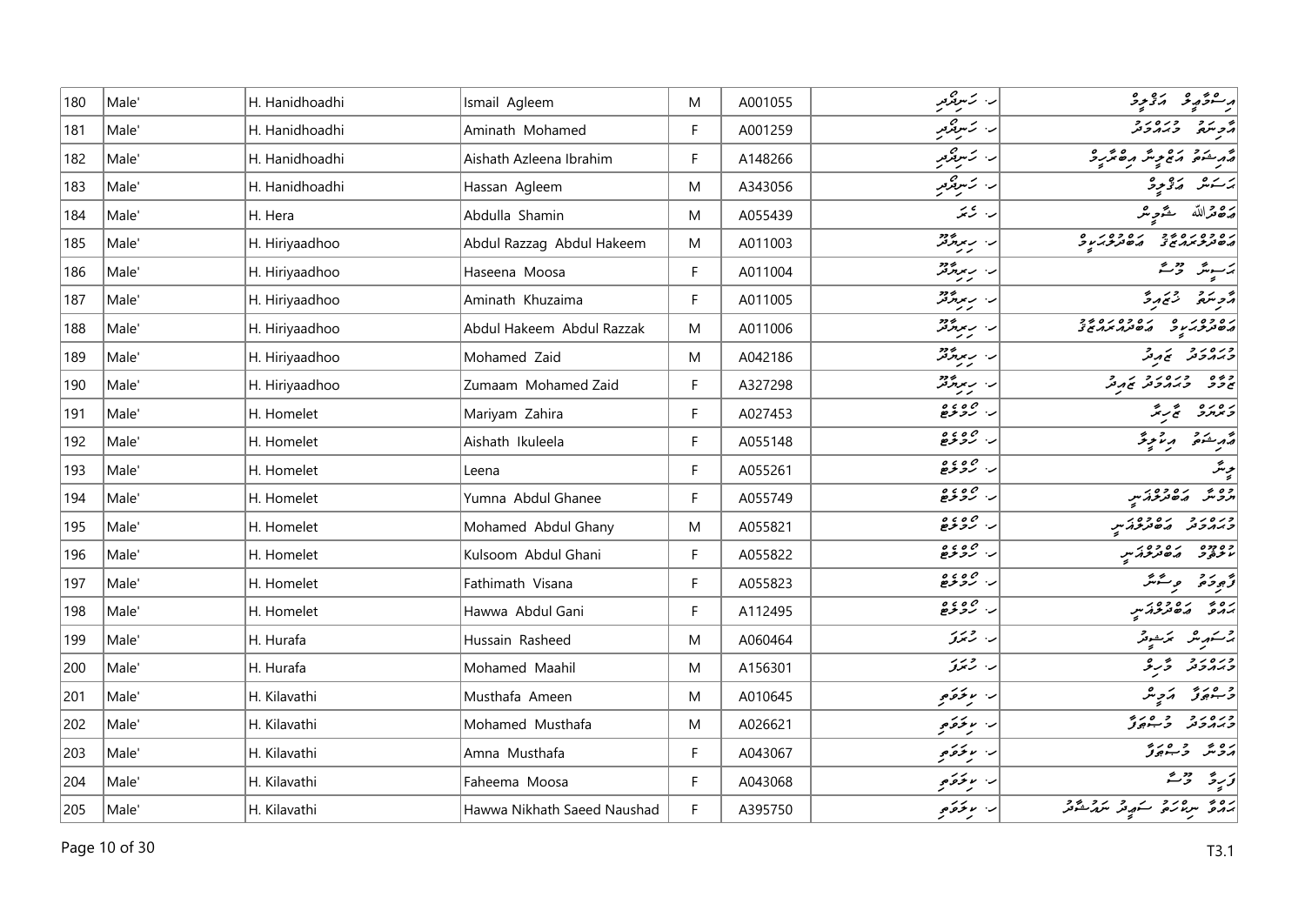| 180 | Male' | H. Hanidhoadhi | Ismail Agleem               | M           | A001055 | ر کریں گھر                           | بر شۇرغۇ بەللىم ئور                                                                                                                                                                                                              |
|-----|-------|----------------|-----------------------------|-------------|---------|--------------------------------------|----------------------------------------------------------------------------------------------------------------------------------------------------------------------------------------------------------------------------------|
| 181 | Male' | H. Hanidhoadhi | Aminath Mohamed             | F           | A001259 | ر. ئەيرىگەر                          | و دره دره در                                                                                                                                                                                                                     |
| 182 | Male' | H. Hanidhoadhi | Aishath Azleena Ibrahim     | F           | A148266 | ر، ئەيدىگىر                          |                                                                                                                                                                                                                                  |
| 183 | Male' | H. Hanidhoadhi | Hassan Agleem               | M           | A343056 | ر، ئەسەھەر                           | بركتش كالمحافي                                                                                                                                                                                                                   |
| 184 | Male' | H. Hera        | Abdulla Shamin              | M           | A055439 | ر. ري                                | رەقمەللە شەرشە                                                                                                                                                                                                                   |
| 185 | Male' | H. Hiriyaadhoo | Abdul Razzag Abdul Hakeem   | M           | A011003 | ار، ریروژه<br>است ا                  |                                                                                                                                                                                                                                  |
| 186 | Male' | H. Hiriyaadhoo | Haseena Moosa               | F           | A011004 | ر.<br>ر. ریمویژفر                    | ىز سەنئە ھەستە<br>م                                                                                                                                                                                                              |
| 187 | Male' | H. Hiriyaadhoo | Aminath Khuzaima            | F           | A011005 | ر . ر بربردگر<br>گر                  |                                                                                                                                                                                                                                  |
| 188 | Male' | H. Hiriyaadhoo | Abdul Hakeem Abdul Razzak   | M           | A011006 | ار . ربو پورتز<br>ار . ربو پورتز     | נס כסגם מס כס גם ביב.<br>מסת <i>כגע כ</i> מסת ממינאת                                                                                                                                                                             |
| 189 | Male' | H. Hiriyaadhoo | Mohamed Zaid                | M           | A042186 |                                      | ورورو بمدقه                                                                                                                                                                                                                      |
| 190 | Male' | H. Hiriyaadhoo | Zumaam Mohamed Zaid         | F           | A327298 |                                      | - 1010 - 1010 - 1010 - 1010 - 1010 - 1010 - 1010 - 1010 - 1010 - 1010 - 1010 - 1010 - 1010 - 1010 - 1010 - 101<br>- 1010 - 1020 - 1030 - 1040 - 1040 - 1040 - 1040 - 1040 - 1040 - 1040 - 1040 - 1040 - 1040 - 1040 - 1040 - 104 |
| 191 | Male' | H. Homelet     | Mariyam Zahira              | $\mathsf F$ | A027453 | $222 - 2$                            | لاءرو پج رنگه                                                                                                                                                                                                                    |
| 192 | Male' | H. Homelet     | Aishath Ikuleela            | $\mathsf F$ | A055148 | ر. ژوءِ ۾                            | ە يەھقىق ئەرەم يوقى<br>ئەرەھقىق ئەرەم يوقى<br>مۇنىڭر                                                                                                                                                                             |
| 193 | Male' | H. Homelet     | Leena                       | $\mathsf F$ | A055261 | ر. ? و ۽ ه                           |                                                                                                                                                                                                                                  |
| 194 | Male' | H. Homelet     | Yumna Abdul Ghanee          | F           | A055749 | ر. ژوء ۾                             | وه مه ره وه د سر<br>در حس ما ما در حد د کم                                                                                                                                                                                       |
| 195 | Male' | H. Homelet     | Mohamed Abdul Ghany         | M           | A055821 | $\overset{\circ}{\epsilon}$          | وره رو ده ووړس<br><i>وبرو</i> تر پ <i>ره ترو</i> ړس                                                                                                                                                                              |
| 196 | Male' | H. Homelet     | Kulsoom Abdul Ghani         | F.          | A055822 | ر. ژوء ۾                             | وه ده ده دو د کند.<br>محتی د مصر د کرد کند                                                                                                                                                                                       |
| 197 | Male' | H. Homelet     | Fathimath Visana            | F           | A055823 | ر. ژوء ۾                             | أؤوده وشتر                                                                                                                                                                                                                       |
| 198 | Male' | H. Homelet     | Hawwa Abdul Gani            | F           | A112495 | 222.                                 |                                                                                                                                                                                                                                  |
| 199 | Male' | H. Hurafa      | Hussain Rasheed             | M           | A060464 | ر، رچمنی                             | رحم شكر مكر الكر كالمحر وتر                                                                                                                                                                                                      |
| 200 | Male' | H. Hurafa      | Mohamed Maahil              | M           | A156301 | ر، رژيزگ                             | ورەر د درو                                                                                                                                                                                                                       |
| 201 | Male' | H. Kilavathi   | Musthafa Ameen              | M           | A010645 | ر ، بوځونمو                          | ومبوق المجاش                                                                                                                                                                                                                     |
| 202 | Male' | H. Kilavathi   | Mohamed Musthafa            | M           | A026621 | ل، ب <sub>ې</sub> ئوغۇم <sub>ۇ</sub> | وره رو و دره<br>وبرود و جوړ                                                                                                                                                                                                      |
| 203 | Male' | H. Kilavathi   | Amna Musthafa               | F           | A043067 |                                      | ره د و دره<br>پروش و بنبوتي                                                                                                                                                                                                      |
| 204 | Male' | H. Kilavathi   | Faheema Moosa               | F.          | A043068 | ار.<br>په موځومو                     | أَوْرِدٌ وَمَسَّمَّ                                                                                                                                                                                                              |
| 205 | Male' | H. Kilavathi   | Hawwa Nikhath Saeed Naushad | F.          | A395750 | ~ بوځونمو                            | ו 200 יוניו בי הרב הרב הרב הרב הרב הרב ברי הרב ברי היו בי הרב ברי היו בי הרב ברי היו בי הרב ברי היו בי הרב ברי<br>הרוב בי היו הרב היו הרב ברי התרגל בי הרב ברי היו ברי הרב ברי היו ברי היו ברי היו ברי היו ברי היו ברי היו ברי ה |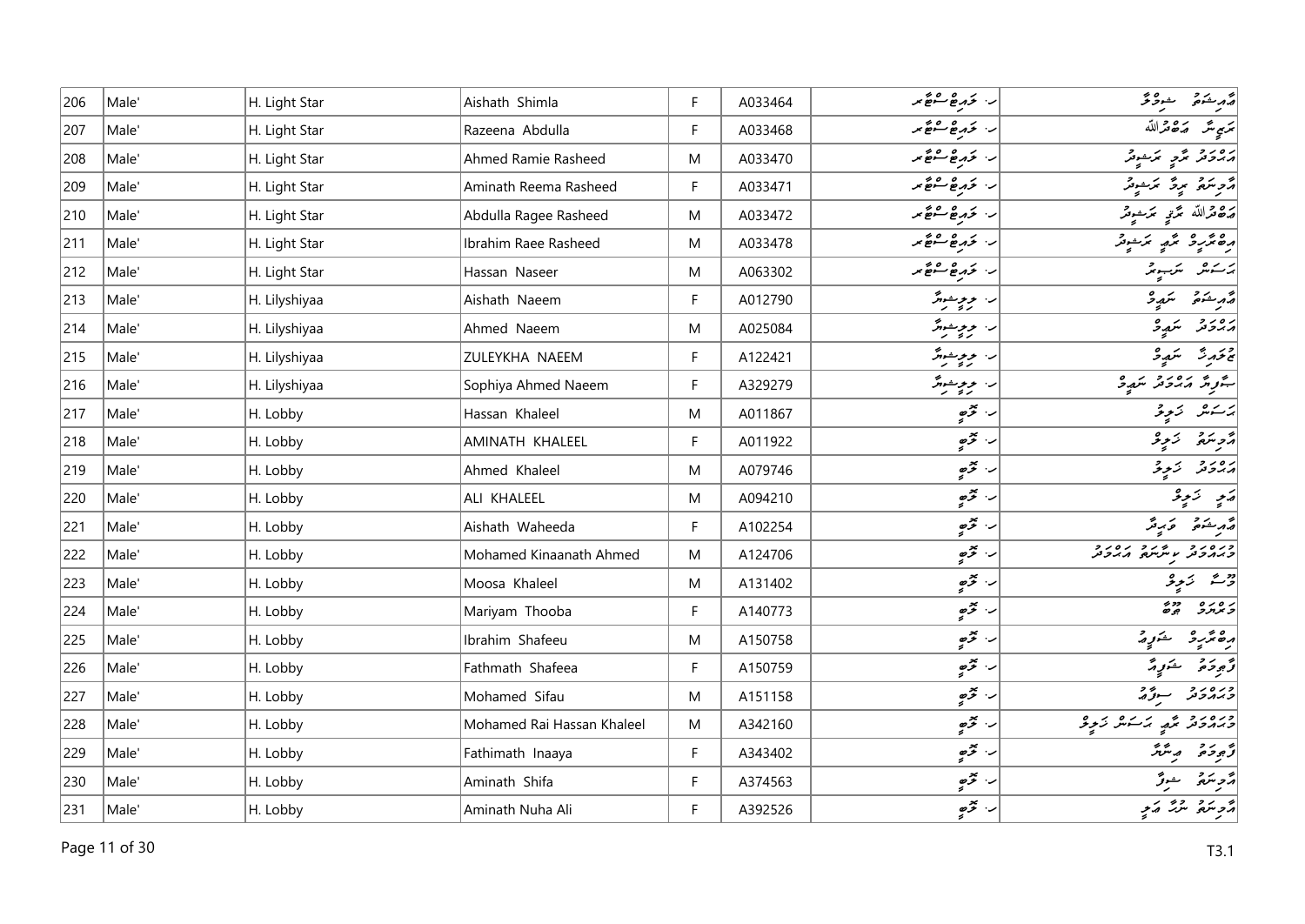| 206 | Male' | H. Light Star | Aishath Shimla             | F         | A033464 | ر، خەرقچ شۇمخ                                                                                                                                                                                                             | مەر شىم ئىسىمى<br>مەر شىم ئىسىمى                   |
|-----|-------|---------------|----------------------------|-----------|---------|---------------------------------------------------------------------------------------------------------------------------------------------------------------------------------------------------------------------------|----------------------------------------------------|
| 207 | Male' | H. Light Star | Razeena Abdulla            | F         | A033468 | ر. كەر ۋە شۇھر                                                                                                                                                                                                            | <i>تتربي متَر ضافتر</i> الله                       |
| 208 | Male' | H. Light Star | Ahmed Ramie Rasheed        | ${\sf M}$ | A033470 | ر، ځه ځوشوځ پر                                                                                                                                                                                                            | ره د د گر <sub>چه</sub> کردوند                     |
| 209 | Male' | H. Light Star | Aminath Reema Rasheed      | F         | A033471 | ر، ځه ځوشوځ پر                                                                                                                                                                                                            | أأترجم بدق للأسوقر                                 |
| 210 | Male' | H. Light Star | Abdulla Ragee Rasheed      | M         | A033472 | ر، خەرغ شۇغ بر                                                                                                                                                                                                            | رَهُ مِّرَاللَّهُ عَمَّتٍ عَرَّسُومُرَ             |
| 211 | Male' | H. Light Star | Ibrahim Raee Rasheed       | M         | A033478 | ر، ئۇرغ شۇغ بر                                                                                                                                                                                                            | مەھەر ئەھمە ئەسلىق                                 |
| 212 | Male' | H. Light Star | Hassan Naseer              | M         | A063302 | ر. ځه ځو شوځ پر                                                                                                                                                                                                           | <br>  پرسکورل سرکے پیمر                            |
| 213 | Male' | H. Lilyshiyaa | Aishath Naeem              | F         | A012790 | ر، ووشهرٌ<br><u>سرور ر</u>                                                                                                                                                                                                | أقهر خنفى التمدير                                  |
| 214 | Male' | H. Lilyshiyaa | Ahmed Naeem                | ${\sf M}$ | A025084 | ر. نوپوڪونگر<br>مرڪ                                                                                                                                                                                                       | دەر د سمدۇ                                         |
| 215 | Male' | H. Lilyshiyaa | ZULEYKHA NAEEM             | F         | A122421 | ر، نونوشوادگر<br>ارو از                                                                                                                                                                                                   | ج حَمدِ حَمدٍ حَمدٍ حَ                             |
| 216 | Male' | H. Lilyshiyaa | Sophiya Ahmed Naeem        | F         | A329279 | ر، ووشهرٌ<br><u>سرور ر</u>                                                                                                                                                                                                | پڅو پر پر د پر پر سمبر د                           |
| 217 | Male' | H. Lobby      | Hassan Khaleel             | ${\sf M}$ | A011867 | ر به شخص<br>ش                                                                                                                                                                                                             | رىكە ئىچ<br>ئاسىش ئىچ                              |
| 218 | Male' | H. Lobby      | AMINATH KHALEEL            | F         | A011922 | ر، مخھ                                                                                                                                                                                                                    | أأديني المتوفر                                     |
| 219 | Male' | H. Lobby      | Ahmed Khaleel              | ${\sf M}$ | A079746 | $\overbrace{a}^{\overbrace{\mathbf{x}}}_{\mathbf{y}}$                                                                                                                                                                     | رەر ئېچى                                           |
| 220 | Male' | H. Lobby      | ALI KHALEEL                | ${\sf M}$ | A094210 | ر. مخړچ                                                                                                                                                                                                                   | پَي زَمٍ وُ                                        |
| 221 | Male' | H. Lobby      | Aishath Waheeda            | F         | A102254 | ر به نخړه<br>په                                                                                                                                                                                                           | و اير د استون د کار د مگر<br>د کار شوه د کار د کار |
| 222 | Male' | H. Lobby      | Mohamed Kinaanath Ahmed    | ${\sf M}$ | A124706 | بالمحمج                                                                                                                                                                                                                   | כנסנב עולנב נסנב<br>כמהכת עולייט <sub>ם</sub> המכת |
| 223 | Male' | H. Lobby      | Moosa Khaleel              | M         | A131402 | ر کشمینی<br>امراکی                                                                                                                                                                                                        | دخش الماليونو                                      |
| 224 | Male' | H. Lobby      | Mariyam Thooba             | F         | A140773 | $\overline{\begin{array}{ccc} & & & & \\ & & \nearrow & & \\ & & \searrow & & \\ & & \searrow & & \\ & & \searrow & & \\ & & \searrow & & \\ & & & \searrow & & \\ & & & & \searrow & \\ & & & & & \searrow \end{array}}$ | دونه<br>جوځ<br>ر ه ر ه<br><del>ر</del> بربرگ       |
| 225 | Male' | H. Lobby      | Ibrahim Shafeeu            | ${\sf M}$ | A150758 | ر. مخرمه<br>پ                                                                                                                                                                                                             | ەرھەترىر <sup>ە</sup><br>مشكور فر                  |
| 226 | Male' | H. Lobby      | Fathmath Shafeea           | F         | A150759 | ر. مخړه<br>په                                                                                                                                                                                                             | وَجِوحَةَ شَوَرٍ                                   |
| 227 | Male' | H. Lobby      | Mohamed Sifau              | ${\sf M}$ | A151158 | ر. نجھ<br>ر                                                                                                                                                                                                               | وره رو سوژه                                        |
| 228 | Male' | H. Lobby      | Mohamed Rai Hassan Khaleel | ${\sf M}$ | A342160 | ر. نڅه ٍ                                                                                                                                                                                                                  | ورەروژ نۇپ بەسەش ئاپار                             |
| 229 | Male' | H. Lobby      | Fathimath Inaaya           | F         | A343402 | $\overbrace{a}^{\overbrace{\mathbf{x}}}_{\mathbf{y}}$                                                                                                                                                                     | أوجوحهم ويتمد                                      |
| 230 | Male' | H. Lobby      | Aminath Shifa              | F         | A374563 | $\overbrace{S_{\beta}^{\mathbf{X}}}\cdot S_{\beta}$                                                                                                                                                                       | أأرجر المحمد والمحمد                               |
| 231 | Male' | H. Lobby      | Aminath Nuha Ali           | F         | A392526 | ر. نخهج                                                                                                                                                                                                                   | أأزو سكتم التركه أأوالح                            |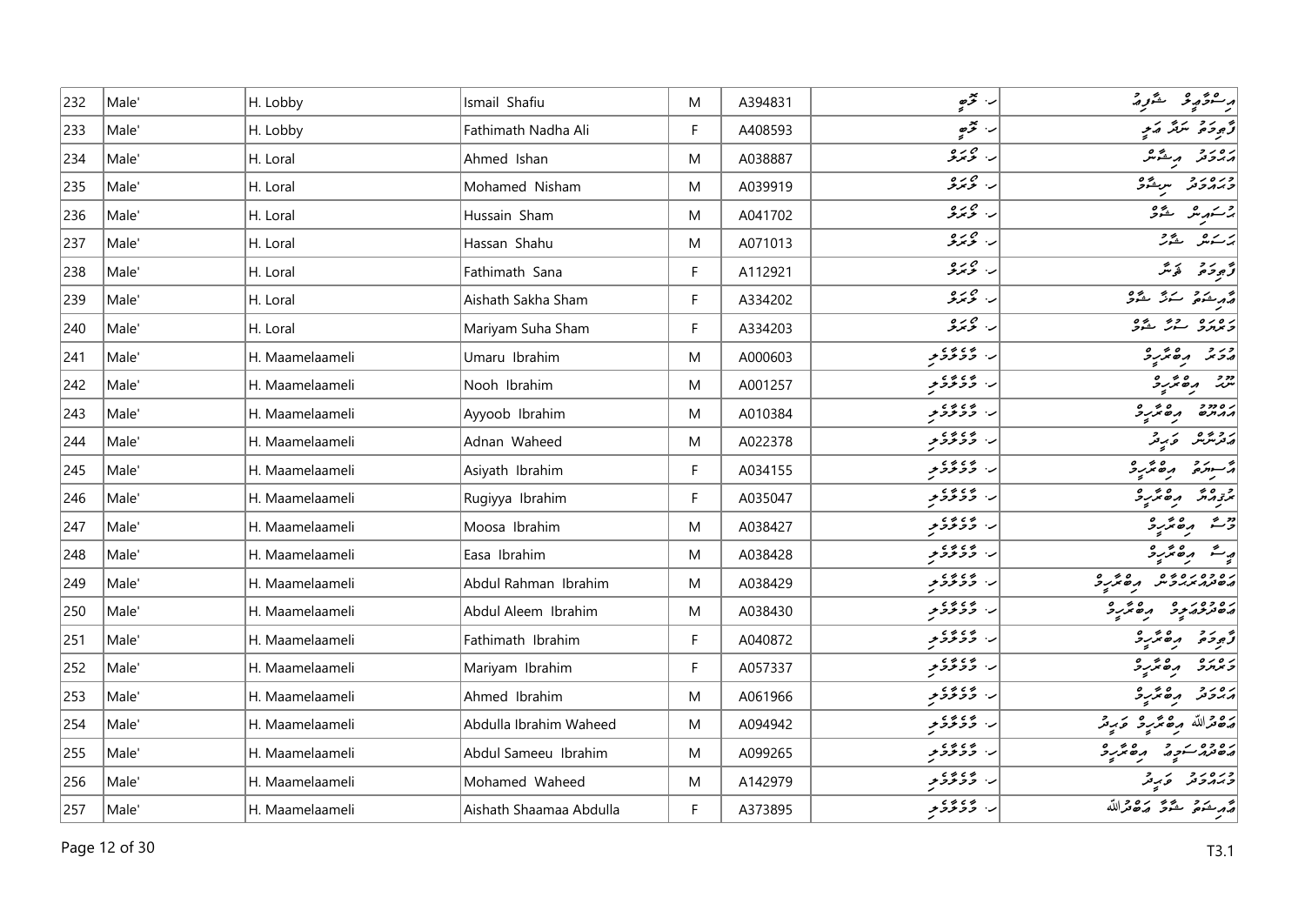| 232 | Male' | H. Lobby        | Ismail Shafiu           | M         | A394831 | $\begin{array}{c} \n\mathcal{L} \\ \mathcal{L} \\ \mathcal{L}\n\end{array}$ | و جوړو څرو                                                                                            |
|-----|-------|-----------------|-------------------------|-----------|---------|-----------------------------------------------------------------------------|-------------------------------------------------------------------------------------------------------|
| 233 | Male' | H. Lobby        | Fathimath Nadha Ali     | F         | A408593 | بالنجيج                                                                     | و المحمد و المحمد المحمد المحمد المحمد المحمد المحمد المحمد المحمد المحمد المحمد المحمد المحمد المحمد |
| 234 | Male' | H. Loral        | Ahmed Ishan             | M         | A038887 | ر. دىمىۋ                                                                    | رەرو رىقم                                                                                             |
| 235 | Male' | H. Loral        | Mohamed Nisham          | M         | A039919 | ر. دىمە                                                                     | ورەر د سرشگو                                                                                          |
| 236 | Male' | H. Loral        | Hussain Sham            | M         | A041702 | ر. د دره                                                                    | جر سەر سىر ھەر                                                                                        |
| 237 | Male' | H. Loral        | Hassan Shahu            | M         | A071013 | ر، نۇپرۇ                                                                    | يركبش المؤثر                                                                                          |
| 238 | Male' | H. Loral        | Fathimath Sana          | F         | A112921 | ر. گۇيزۇ                                                                    | قُ جو حرم فَرَمَّرٌ                                                                                   |
| 239 | Male' | H. Loral        | Aishath Sakha Sham      | F         | A334202 | ر. گۇيزۇ                                                                    | ۇرىشو كەڭ شۇ                                                                                          |
| 240 | Male' | H. Loral        | Mariyam Suha Sham       | F         | A334203 | ر. گۇنزگى                                                                   | رەرە روپ ئەۋ                                                                                          |
| 241 | Male' | H. Maamelaameli | Umaru Ibrahim           | M         | A000603 | ر، دودود                                                                    |                                                                                                       |
| 242 | Male' | H. Maamelaameli | Nooh Ibrahim            | M         | A001257 | ر. دودود                                                                    | دو ده نوره                                                                                            |
| 243 | Male' | H. Maamelaameli | Ayyoob Ibrahim          | M         | A010384 | ر. ۇرۇۋۈ                                                                    | ە ھەترىرى<br>برھەترىرى<br>ג ם בב ב<br>ה'הרישים                                                        |
| 244 | Male' | H. Maamelaameli | Adnan Waheed            | M         | A022378 | ر. ۇرۇۋۈ                                                                    | پروژهر کردو                                                                                           |
| 245 | Male' | H. Maamelaameli | Asiyath Ibrahim         | F         | A034155 | ر. ۇرۇۋۈ                                                                    | ومستروح وه محرر                                                                                       |
| 246 | Male' | H. Maamelaameli | Rugiyya Ibrahim         | F         | A035047 | ر. ۇرۇۋۈ                                                                    | برومز مقتررة                                                                                          |
| 247 | Male' | H. Maamelaameli | Moosa Ibrahim           | ${\sf M}$ | A038427 | ر، ۇدۇۋىر                                                                   | ديم رەپرىدە                                                                                           |
| 248 | Male' | H. Maamelaameli | Easa Ibrahim            | M         | A038428 | ر. د د د د                                                                  | ىر ھەترىر <i>ۋ</i><br>ا پر ش                                                                          |
| 249 | Male' | H. Maamelaameli | Abdul Rahman Ibrahim    | M         | A038429 | ر. ۇۋۇۋىر                                                                   | נס כס נס מס מי מי מי כ                                                                                |
| 250 | Male' | H. Maamelaameli | Abdul Aleem Ibrahim     | M         | A038430 | ر. د د د د د                                                                | برە ئۆرۈ<br>ړه وه پر ه<br>پرهنر پر پر                                                                 |
| 251 | Male' | H. Maamelaameli | Fathimath Ibrahim       | F         | A040872 | ر. ۇرۇۋۈ                                                                    | وٌمورَمٌ                                                                                              |
| 252 | Male' | H. Maamelaameli | Mariyam Ibrahim         | F         | A057337 | ر. د د د د د                                                                | ە ھەترىر <sup>ە</sup><br>ر ه ر ه<br>تر <del>ب</del> ر بر ژ                                            |
| 253 | Male' | H. Maamelaameli | Ahmed Ibrahim           | ${\sf M}$ | A061966 | ر، ۇۋۇۋىر                                                                   | גפגב פיציב                                                                                            |
| 254 | Male' | H. Maamelaameli | Abdulla Ibrahim Waheed  | M         | A094942 | ر. ۇدۇۋىر                                                                   | مَصْعَداللَّهُ مِصْعَرَ حَدِيثَ                                                                       |
| 255 | Male' | H. Maamelaameli | Abdul Sameeu Ibrahim    | M         | A099265 | ر په دې دې                                                                  | גם כם גב גם הבינב                                                                                     |
| 256 | Male' | H. Maamelaameli | Mohamed Waheed          | M         | A142979 | ر. د د د د د                                                                | ورەرو كەي                                                                                             |
| 257 | Male' | H. Maamelaameli | Aishath Shaamaa Abdulla | F         | A373895 | ر، ۇۋۇۋىر                                                                   | أقهر شعيم مشعر وكالحد الله                                                                            |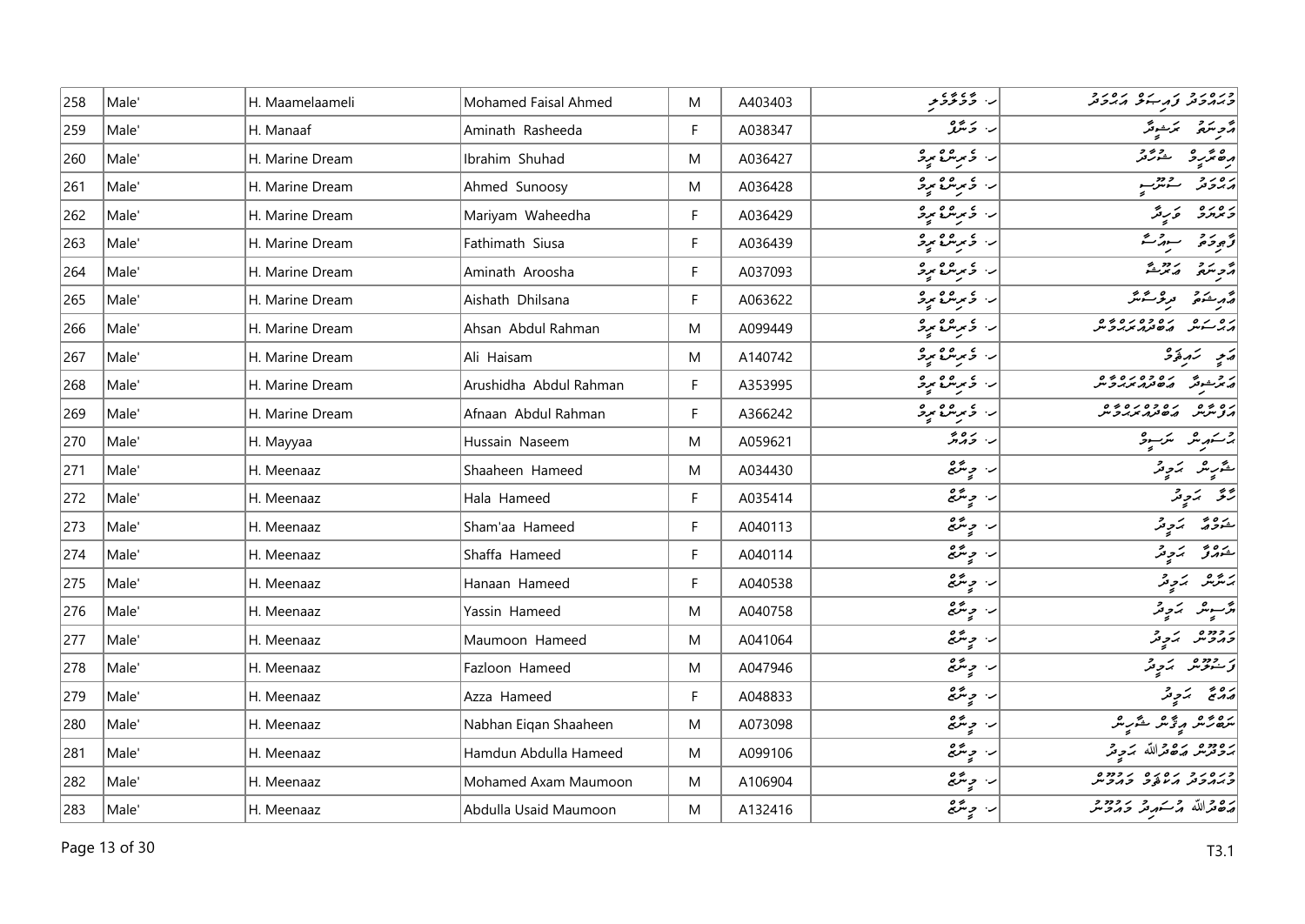| 258 | Male' | H. Maamelaameli | Mohamed Faisal Ahmed   | M           | A403403 | ر. ۇۇۋۇم                   | כנסגב צג היב גם גם ב                  |
|-----|-------|-----------------|------------------------|-------------|---------|----------------------------|---------------------------------------|
| 259 | Male' | H. Manaaf       | Aminath Rasheeda       | $\mathsf F$ | A038347 | ر . ئەنگە                  | أأرمز المتحفظ المتحفظة                |
| 260 | Male' | H. Marine Dream | Ibrahim Shuhad         | M           | A036427 | ر. ۇىرىدى برۇ              | وەتزرو<br>ر ج بر حر<br>مشترکتر        |
| 261 | Male' | H. Marine Dream | Ahmed Sunoosy          | M           | A036428 | ر. د بر شنگ برد            | ره رو در دور<br>دربرو در سنگرسو       |
| 262 | Male' | H. Marine Dream | Mariyam Waheedha       | F           | A036429 | ر. د برمرو برد             | و دره در په                           |
| 263 | Male' | H. Marine Dream | Fathimath Siusa        | F           | A036439 | ر. ۇىرىدى برۇ              | أزودة سيرمش                           |
| 264 | Male' | H. Marine Dream | Aminath Aroosha        | F           | A037093 | ر. ۇىرىش برۇ               | أروسكو المردون                        |
| 265 | Male' | H. Marine Dream | Aishath Dhilsana       | F           | A063622 |                            | ۇرمۇق برۇشە                           |
| 266 | Male' | H. Marine Dream | Ahsan Abdul Rahman     | M           | A099449 | ر. ۇىرىدى برۇ              | ره ده ده ده ده ده و                   |
| 267 | Male' | H. Marine Dream | Ali Haisam             | M           | A140742 | ر. ۇىرىش برۇ               | أرشح ستهرجوه                          |
| 268 | Male' | H. Marine Dream | Arushidha Abdul Rahman | F           | A353995 | ر کا دیگر دیگر دیگر        | קר הם קספסקסטים<br>התייבות הסנקות הכת |
| 269 | Male' | H. Marine Dream | Afnaan Abdul Rahman    | F           | A366242 | ر. ۇىرىش برۇ               | رەپ ە رەپەرەپەر<br>مۆشىر مەھىرمەرگەش  |
| 270 | Male' | H. Mayyaa       | Hussain Naseem         | M           | A059621 | ر کە دەپ                   | چەسەر مەسرى                           |
| 271 | Male' | H. Meenaaz      | Shaaheen Hameed        | M           | A034430 | ر. وبڈھ                    | ڪرير پارچ                             |
| 272 | Male' | H. Meenaaz      | Hala Hameed            | F           | A035414 | ر. ویژهی                   | رُوَ رَدِيرَ                          |
| 273 | Male' | H. Meenaaz      | Sham'aa Hameed         | F           | A040113 | ر. وبڈھ                    | أخذوها أروقر                          |
| 274 | Male' | H. Meenaaz      | Shaffa Hameed          | F           | A040114 | ر. ویژهی                   | شەھەتى<br>برَحٍ قر                    |
| 275 | Male' | H. Meenaaz      | Hanaan Hameed          | F           | A040538 | ر. چېگچ                    | پَسَّرْسُ بَرَدٍ ثَرِ                 |
| 276 | Male' | H. Meenaaz      | Yassin Hameed          | M           | A040758 | ار، ویژه<br>ا              | ېژىسونتر كەرد <i>ۇ</i><br>ئ           |
| 277 | Male' | H. Meenaaz      | Maumoon Hameed         | M           | A041064 | ار، <sub>ج</sub> معی<br>—— | ק פרפית הפית<br>  <i>ב</i> וקבית הפית |
| 278 | Male' | H. Meenaaz      | Fazloon Hameed         | M           | A047946 | ر. ویژهی                   | ۇ جەدەر بەر بەر                       |
| 279 | Male' | H. Meenaaz      | Azza Hameed            | F           | A048833 | ر. چېگچ                    | أروم بردير                            |
| 280 | Male' | H. Meenaaz      | Nabhan Eigan Shaaheen  | M           | A073098 | ر. چېگچ                    | تتم المعالم المستورية المستورية       |
| 281 | Male' | H. Meenaaz      | Hamdun Abdulla Hameed  | M           | A099106 | ر. چېنځ                    | بره وده بره دالله برد د               |
| 282 | Male' | H. Meenaaz      | Mohamed Axam Maumoon   | M           | A106904 | ر. چېگچ                    | כנסגב גםגם גבדבם<br>כגמבת העקב במבית  |
| 283 | Male' | H. Meenaaz      | Abdulla Usaid Maumoon  | M           | A132416 | ر. وٍ مَّرْچ               | رَصْدَاللَّهُ مُرْسَوْرٍ وَمُدَّمَّرٍ |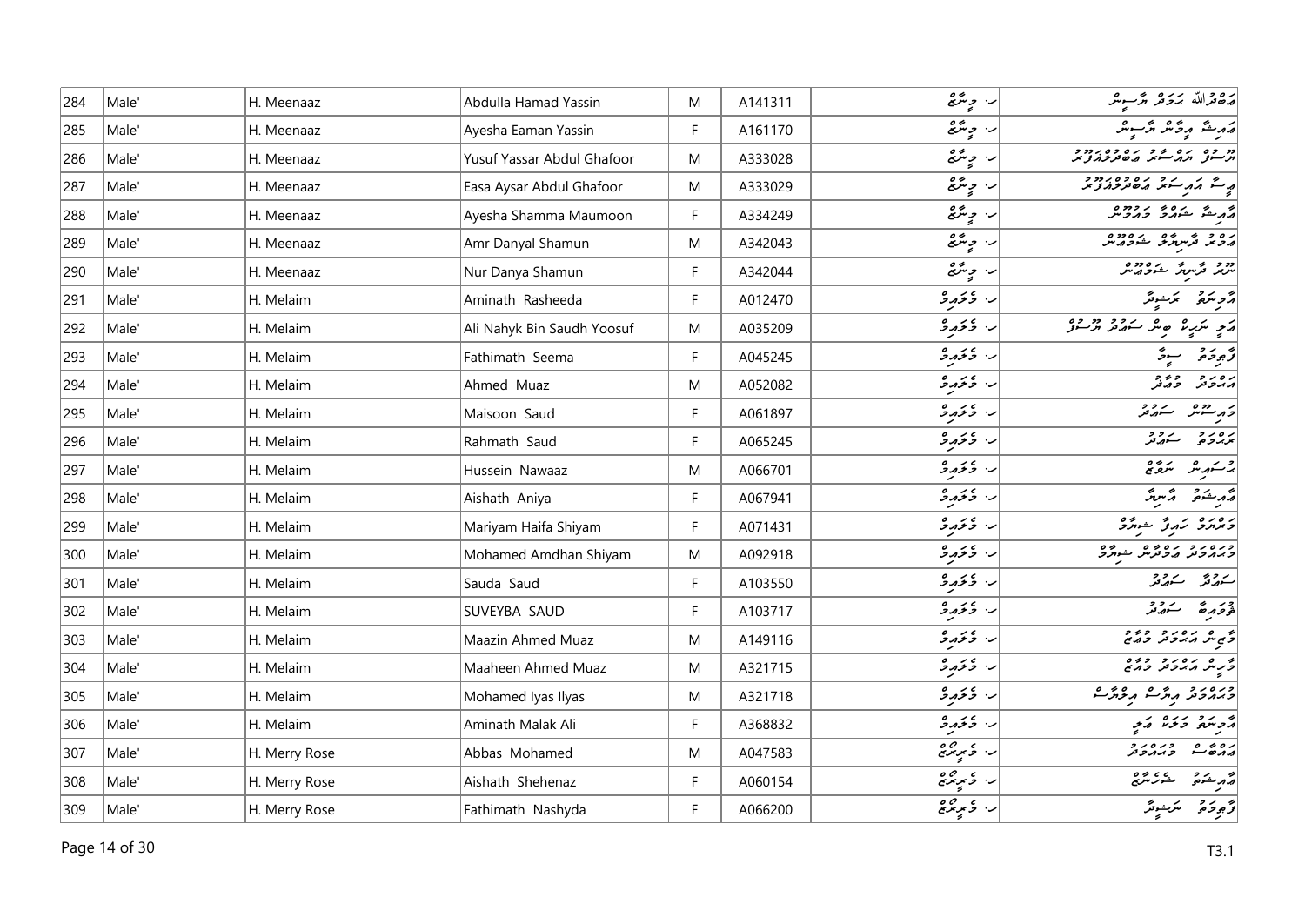| 284 | Male' | H. Meenaaz    | Abdulla Hamad Yassin       | M           | A141311 | ر. چېنم                    | رە داللە بردە مۇسومىر                                                                                                |
|-----|-------|---------------|----------------------------|-------------|---------|----------------------------|----------------------------------------------------------------------------------------------------------------------|
| 285 | Male' | H. Meenaaz    | Ayesha Eaman Yassin        | $\mathsf F$ | A161170 | ار. ويُدْهِج               | مەت مۇھەر سى                                                                                                         |
| 286 | Male' | H. Meenaaz    | Yusuf Yassar Abdul Ghafoor | M           | A333028 | ار. <sub>حی</sub> شی<br>—— | מ כם גם שיכ גם כם ג <del>מיד</del><br>מ— צי תו <i>ג— י</i> צא ו <i>גים בגיב</i> ות בינ                               |
| 287 | Male' | H. Meenaaz    | Easa Aysar Abdul Ghafoor   | M           | A333029 | ار. <sub>حی</sub> شی<br>—— | د شه که سویر ده ۱۶۶٬۰۶۰ و در دور و بر دور و به سر کار در استاده کرد کرد.<br>در سر شهر کار در کار در در و بر دور و سر |
| 288 | Male' | H. Meenaaz    | Ayesha Shamma Maumoon      | $\mathsf F$ | A334249 |                            | و ديگر شورد دروده<br>ورمث شورد دروس                                                                                  |
| 289 | Male' | H. Meenaaz    | Amr Danyal Shamun          | M           | A342043 | ر. وٍ مَّرْج               | ره و ترسرگرو شوره ده<br>پرونز ترسرگرو شورسر                                                                          |
| 290 | Male' | H. Meenaaz    | Nur Danya Shamun           | $\mathsf F$ | A342044 | ر. ویژهی                   | مریز تر سر شوده مر                                                                                                   |
| 291 | Male' | H. Melaim     | Aminath Rasheeda           | $\mathsf F$ | A012470 | ر. د درد                   | أأرجع أأتمر المتفرين                                                                                                 |
| 292 | Male' | H. Melaim     | Ali Nahyk Bin Saudh Yoosuf | M           | A035209 | - د د درد                  | ג'ב ייציע סייר ביו בס בי בי                                                                                          |
| 293 | Male' | H. Melaim     | Fathimath Seema            | F.          | A045245 | ر بمخدفه                   | و به بر د<br>ترجو څخه<br>سيوڅ                                                                                        |
| 294 | Male' | H. Melaim     | Ahmed Muaz                 | M           | A052082 | ر كومرۇ                    | ره رو ووو<br>مهرونس ومقر                                                                                             |
| 295 | Male' | H. Melaim     | Maisoon Saud               | F           | A061897 | ر. د دَر                   | ر دوه دوه<br>درستانگر سوه تر                                                                                         |
| 296 | Male' | H. Melaim     | Rahmath Saud               | F           | A065245 | ر. ۇ ئەر                   | ر ہ ر د د د<br>بربروہ سوبرتر                                                                                         |
| 297 | Male' | H. Melaim     | Hussein Nawaaz             | M           | A066701 | ر. د دَرَمرد               | جر سەر شەرقىقى ئىستىر                                                                                                |
| 298 | Male' | H. Melaim     | Aishath Aniya              | $\mathsf F$ | A067941 | ر. د دَرَمرد               | وأرشكتم وأسرائه                                                                                                      |
| 299 | Male' | H. Melaim     | Mariyam Haifa Shiyam       | F           | A071431 | ر. د درد                   | ويرادوا المروتى المواردة                                                                                             |
| 300 | Male' | H. Melaim     | Mohamed Amdhan Shiyam      | M           | A092918 | ر. ۇ ئەر                   | ورەر د رەپە ھەر                                                                                                      |
| 301 | Male' | H. Melaim     | Sauda Saud                 | $\mathsf F$ | A103550 | ر بمخدفه                   | سەرە سەرە بە                                                                                                         |
| 302 | Male' | H. Melaim     | <b>SUVEYBA SAUD</b>        | F           | A103717 | ر. د درد                   | قۇم بەردو                                                                                                            |
| 303 | Male' | H. Melaim     | Maazin Ahmed Muaz          | M           | A149116 | ر. د درد                   | و ده ده د و وو و<br>د ع س م.رو تر ومر                                                                                |
| 304 | Male' | H. Melaim     | Maaheen Ahmed Muaz         | M           | A321715 | ر. د درد                   | و ده ده ده دوه                                                                                                       |
| 305 | Male' | H. Melaim     | Mohamed Iyas Ilyas         | M           | A321718 | ر. د درد                   | ورەرو روگ روگرے                                                                                                      |
| 306 | Male' | H. Melaim     | Aminath Malak Ali          | F           | A368832 | ر. د درد                   | أزوبترة المادع أيامي                                                                                                 |
| 307 | Male' | H. Merry Rose | Abbas Mohamed              | M           | A047583 | ر، ڈیریزی                  | رەپ دىرەرد                                                                                                           |
| 308 | Male' | H. Merry Rose | Aishath Shehenaz           | F.          | A060154 | ر، د پرېږي                 | پ <sup>ر</sup> در شوځ<br>ے بر مربع<br>مشرک <i>ہ مربع</i>                                                             |
| 309 | Male' | H. Merry Rose | Fathimath Nashyda          | F           | A066200 | ر، ځېږېږي                  | تؤجر فكمش الكرشوش                                                                                                    |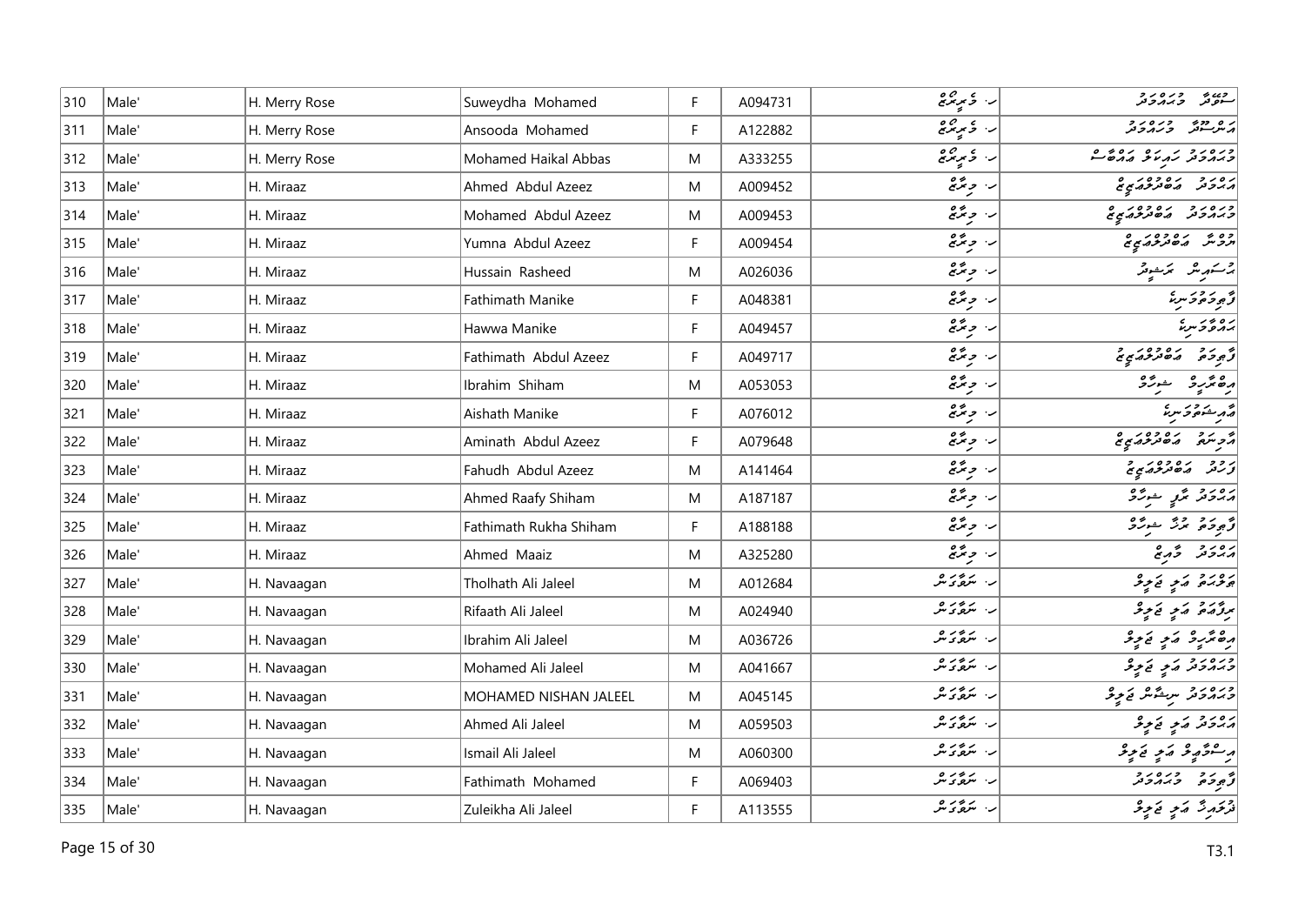| 310 | Male' | H. Merry Rose | Suweydha Mohamed       | F         | A094731 | ر، ځېږېږي         | و ره ر و<br><i>و پر</i> و تر<br>  روړ په                            |
|-----|-------|---------------|------------------------|-----------|---------|-------------------|---------------------------------------------------------------------|
| 311 | Male' | H. Merry Rose | Ansooda Mohamed        | F         | A122882 | ر ، ځېږېږي        | و ره ر د<br>تر <i>د</i> گر<br>بر ۵ دور.<br>مرسر متر                 |
| 312 | Male' | H. Merry Rose | Mohamed Haikal Abbas   | ${\sf M}$ | A333255 | ر. ۇىرىرچ         | כנים כל התעיב התלים                                                 |
| 313 | Male' | H. Miraaz     | Ahmed Abdul Azeez      | M         | A009452 | ار، ویژنج<br>——   | גפגב גפבפגם<br>הגבע השעי <i>כה א</i> ָב                             |
| 314 | Male' | H. Miraaz     | Mohamed Abdul Azeez    | M         | A009453 | ر. و پژو          | כנסגב גסבסגם<br>בגתכת מסתי <i>כמ</i> ץ                              |
| 315 | Male' | H. Miraaz     | Yumna Abdul Azeez      | F         | A009454 | ر. و برَّه        | כם מי הסכם מים<br>הכית הסיניבה מָ                                   |
| 316 | Male' | H. Miraaz     | Hussain Rasheed        | M         | A026036 | ر. و پژو          | چەسكىرىكى ئىك ئىشىرىگى                                              |
| 317 | Male' | H. Miraaz     | Fathimath Manike       | F         | A048381 | ر. و پژه          | ۇ بوخ <sub>ۇ</sub> خوترىئا                                          |
| 318 | Male' | H. Miraaz     | Hawwa Manike           | F         | A049457 | ر. وېژبو          | برە ئەربى                                                           |
| 319 | Male' | H. Miraaz     | Fathimath Abdul Azeez  | F         | A049717 | ر. و برّي         | ژ <sub>موخ</sub> ه ره ده در چ                                       |
| 320 | Male' | H. Miraaz     | Ibrahim Shiham         | M         | A053053 | ر. و برّي         | رەپر<br>رەپرى <sub>ر</sub> و خو <i>ر</i> و                          |
| 321 | Male' | H. Miraaz     | Aishath Manike         | F         | A076012 | ر. و برَّه        | ا په د سنوچ سربا<br>م                                               |
| 322 | Male' | H. Miraaz     | Aminath Abdul Azeez    | F         | A079648 | ر. وېژبخ          |                                                                     |
| 323 | Male' | H. Miraaz     | Fahudh Abdul Azeez     | ${\sf M}$ | A141464 | ر. و پژه          | و دو په دوه ده د کار د                                              |
| 324 | Male' | H. Miraaz     | Ahmed Raafy Shiham     | ${\sf M}$ | A187187 | ر. و پژم          | أرورو المحمو المورثاة                                               |
| 325 | Male' | H. Miraaz     | Fathimath Rukha Shiham | F         | A188188 | ار، ویژنج<br>ا    | و ده چرگ جرگ                                                        |
| 326 | Male' | H. Miraaz     | Ahmed Maaiz            | M         | A325280 | ر. وېژبخ          | $\begin{pmatrix} 0 & 0 & 0 \\ 0 & 0 & 0 \\ 0 & 0 & 0 \end{pmatrix}$ |
| 327 | Male' | H. Navaagan   | Tholhath Ali Jaleel    | M         | A012684 | ر، سرگار ه        | أبرور و مَرٍ وَمِرِ وَ                                              |
| 328 | Male' | H. Navaagan   | Rifaath Ali Jaleel     | M         | A024940 | ر، سرگار هر       | برزمة كمي في و                                                      |
| 329 | Male' | H. Navaagan   | Ibrahim Ali Jaleel     | M         | A036726 | ر سرگار ہے۔       | رە ئەر ئە ئەندە                                                     |
| 330 | Male' | H. Navaagan   | Mohamed Ali Jaleel     | M         | A041667 | ر، سرگار ه        |                                                                     |
| 331 | Male' | H. Navaagan   | MOHAMED NISHAN JALEEL  | M         | A045145 | ر، سرگار ه        | ورەرو سرىشىر قەرو                                                   |
| 332 | Male' | H. Navaagan   | Ahmed Ali Jaleel       | M         | A059503 | ر، سرگار ہ        |                                                                     |
| 333 | Male' | H. Navaagan   | Ismail Ali Jaleel      | M         | A060300 | ر، سرگار هر       | ر څوګړی کې تړیو                                                     |
| 334 | Male' | H. Navaagan   | Fathimath Mohamed      | F         | A069403 | ر، سَرَةَ رُ مَرْ | و ده دره دره<br>وچوه درمددند                                        |
| 335 | Male' | H. Navaagan   | Zuleikha Ali Jaleel    | F         | A113555 | ر، سرگار ہ        | فرقرير تەي قايد                                                     |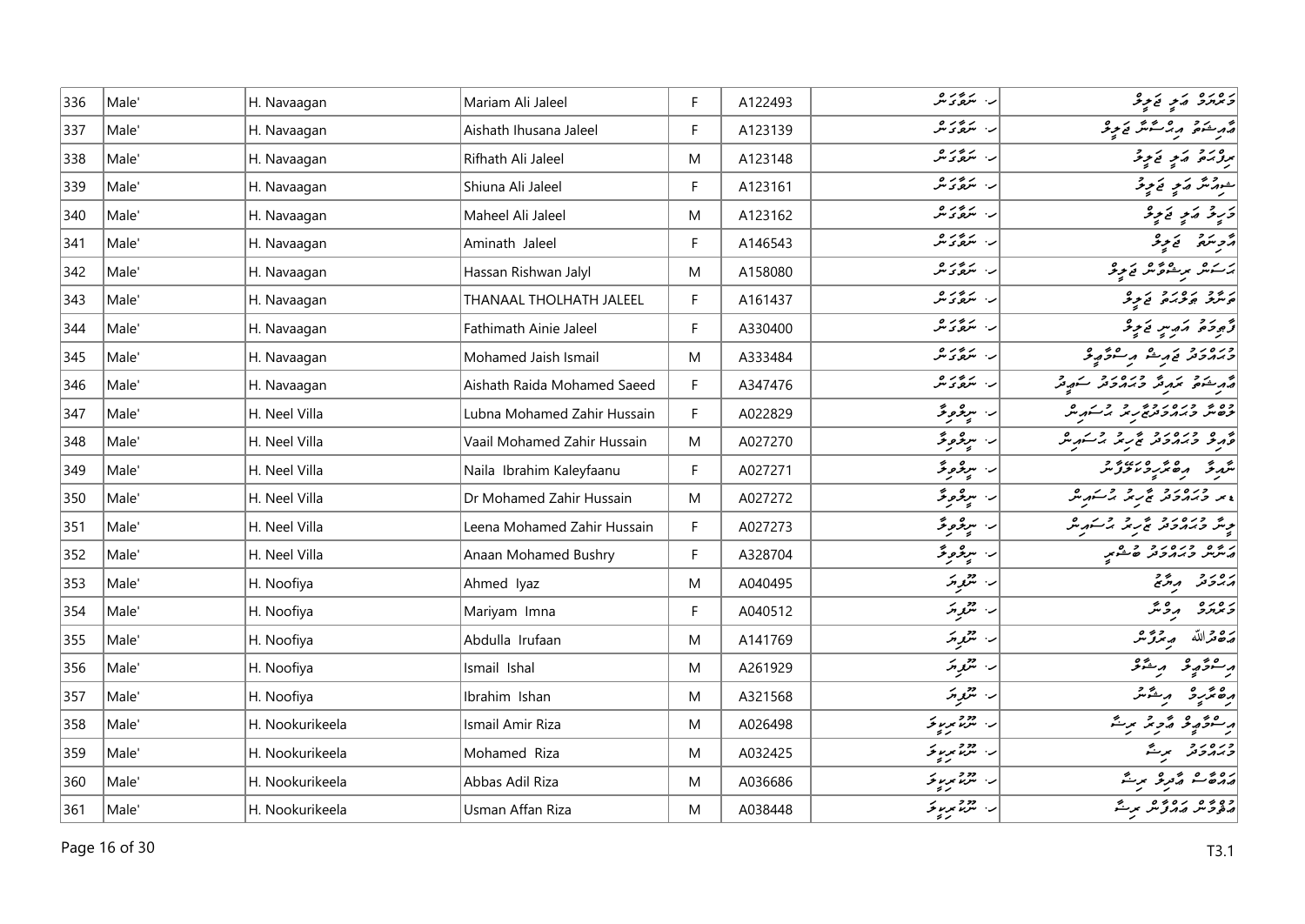| 336 | Male' | H. Navaagan     | Mariam Ali Jaleel           | F           | A122493 | ر، سرگار ہ           |                                       |
|-----|-------|-----------------|-----------------------------|-------------|---------|----------------------|---------------------------------------|
| 337 | Male' | H. Navaagan     | Aishath Ihusana Jaleel      | F           | A123139 | ر، سره بر ه          | ۇرىيە روشەر ئ                         |
| 338 | Male' | H. Navaagan     | Rifhath Ali Jaleel          | M           | A123148 | ر، سرگار ہ           | بروثرة كالمح فالمحيض                  |
| 339 | Male' | H. Navaagan     | Shiuna Ali Jaleel           | E           | A123161 | ر، سرگار ہ           | جوړش کړې ځېږ                          |
| 340 | Male' | H. Navaagan     | Maheel Ali Jaleel           | M           | A123162 | ر، سرگار ہ           | دَرِدْ كَمَنٍ يَجْرِدْ                |
| 341 | Male' | H. Navaagan     | Aminath Jaleel              | F           | A146543 | ر، سرگار ہ           | أأدويتهم الأمج والمحر                 |
| 342 | Male' | H. Navaagan     | Hassan Rishwan Jalyl        | M           | A158080 | ر، سرگار هر          | يُرَسَمَسُ بِرِيشُوَسُ فَيَجِعُ       |
| 343 | Male' | H. Navaagan     | THANAAL THOLHATH JALEEL     | $\mathsf F$ | A161437 | ر، سرگار ه           | برود بروبرد بمرو                      |
| 344 | Male' | H. Navaagan     | Fathimath Ainie Jaleel      | F           | A330400 | سر پور ہ             | وحدقته وأوس فأوفح                     |
| 345 | Male' | H. Navaagan     | Mohamed Jaish Ismail        | M           | A333484 | ر، سَرَةَ رُ سُ      | ورەرو يەر ھ رے گھر                    |
| 346 | Male' | H. Navaagan     | Aishath Raida Mohamed Saeed | F           | A347476 | ر، سره پر ه          | م دو برد و ده دو کرد                  |
| 347 | Male' | H. Neel Villa   | Lubna Mohamed Zahir Hussain | F.          | A022829 | ر. سردگروگر          | כס מ כנסנפי גל גלות ות                |
| 348 | Male' | H. Neel Villa   | Vaail Mohamed Zahir Hussain | M           | A027270 | ر. سروگرو            | و دو دره در در در در سکر ش            |
| 349 | Male' | H. Neel Villa   | Naila Ibrahim Kaleyfaanu    | $\mathsf F$ | A027271 | ر. سردگروگر          | بثمر قرم مرکز می در می شود.           |
| 350 | Male' | H. Neel Villa   | Dr Mohamed Zahir Hussain    | M           | A027272 | ر. سردگروگر          | ، پر <i>ویرمروز پخ برتر پر شهر</i> شر |
| 351 | Male' | H. Neel Villa   | Leena Mohamed Zahir Hussain | F           | A027273 | ر. سروگرو            | وير ويرودو للمريز برسكرير             |
| 352 | Male' | H. Neel Villa   | Anaan Mohamed Bushry        | F           | A328704 | ر. سردگروگر          | أرشر وبرودو وصفي                      |
| 353 | Male' | H. Noofiya      | Ahmed Iyaz                  | M           | A040495 | ر. متنوبر            | גם ג' בית<br>ג' ג' בית ג'             |
| 354 | Male' | H. Noofiya      | Mariyam Imna                | F           | A040512 | ر. شمویز             | גםגם הכית                             |
| 355 | Male' | H. Noofiya      | Abdulla Irufaan             | M           | A141769 | ر، سمجر مر           | ەھىراللە<br>ە ئىرتى شر                |
| 356 | Male' | H. Noofiya      | Ismail Ishal                | M           | A261929 | ر. متنوبر            | برحوح يو برخو                         |
| 357 | Male' | H. Noofiya      | Ibrahim Ishan               | M           | A321568 | ر، سرویز             | رەئرى رىئىر                           |
| 358 | Male' | H. Nookurikeela | Ismail Amir Riza            | M           | A026498 | ر، میں بررہ بر       | ر جۇمپۇ مۇمبۇ برگ                     |
| 359 | Male' | H. Nookurikeela | Mohamed Riza                | M           | A032425 | ر. متره بررند        | ورەرو برگ                             |
| 360 | Male' | H. Nookurikeela | Abbas Adil Riza             | M           | A036686 | ر، شره بررندگی<br>رو | روء ۾ ورد برگ                         |
| 361 | Male' | H. Nookurikeela | Usman Affan Riza            | M           | A038448 | ر. شرا بربانچه       | وە دە دە دە ئەر                       |
|     |       |                 |                             |             |         |                      |                                       |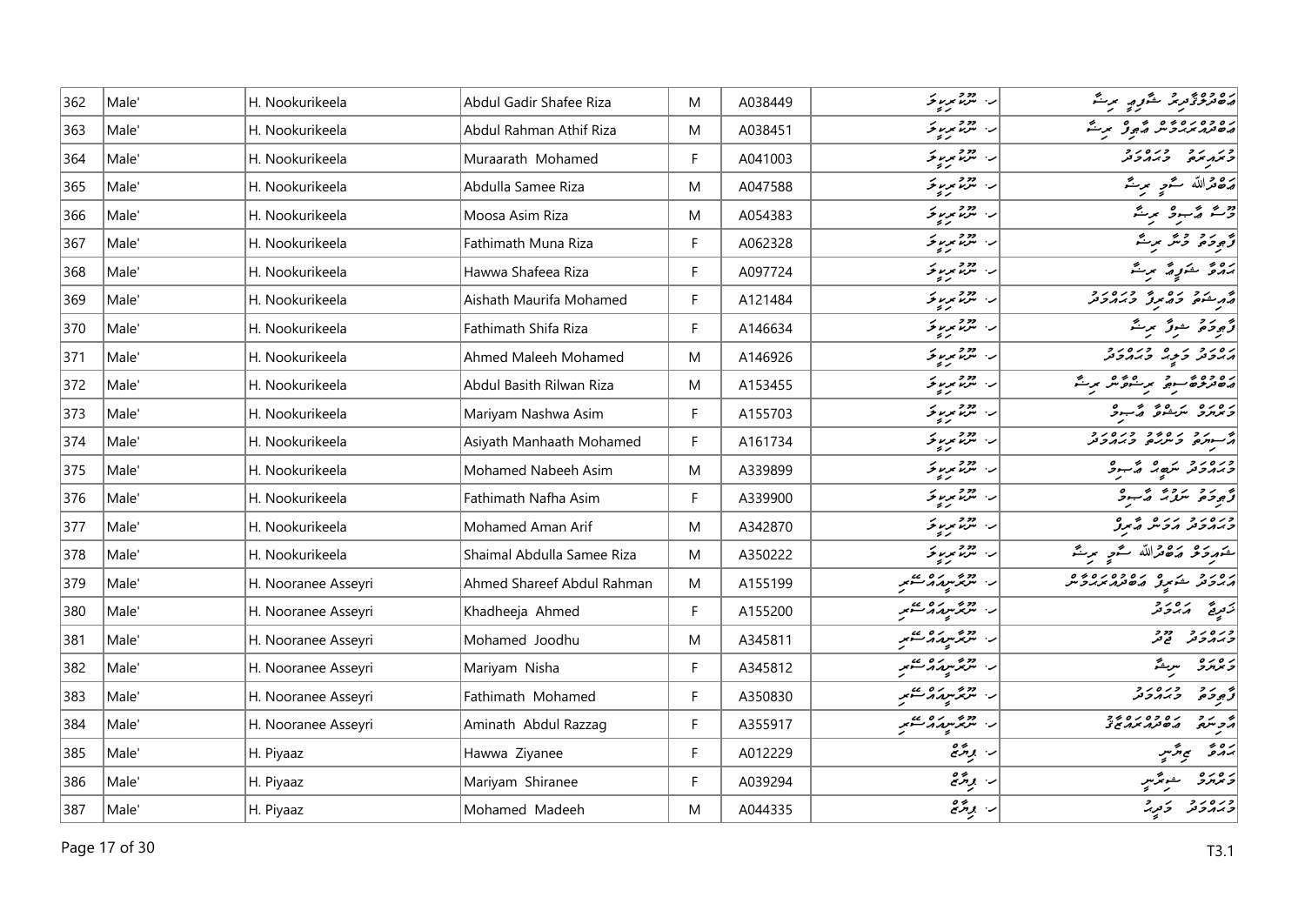| 362 | Male' | H. Nookurikeela     | Abdul Gadir Shafee Riza    | M           | A038449 | لەر مەدەبىرىدىكى<br>مەسىم                       | رە دويىرىز ئىگروپە بېت                              |
|-----|-------|---------------------|----------------------------|-------------|---------|-------------------------------------------------|-----------------------------------------------------|
| 363 | Male' | H. Nookurikeela     | Abdul Rahman Athif Riza    | M           | A038451 | سا میں مربوعہ<br> سا میں مربوعہ                 |                                                     |
| 364 | Male' | H. Nookurikeela     | Muraarath Mohamed          | F           | A041003 | ر. مترنا برمایخه                                |                                                     |
| 365 | Male' | H. Nookurikeela     | Abdulla Samee Riza         | M           | A047588 | سىستەمبەر<br>سىستىمبور                          | رَة قِرَاللّهَ تُحْرِ مِنْ مَّ                      |
| 366 | Male' | H. Nookurikeela     | Moosa Asim Riza            | M           | A054383 | ر، شرایموریونچه                                 | وحث كالبرو الربثا                                   |
| 367 | Male' | H. Nookurikeela     | Fathimath Muna Riza        | F           | A062328 | ر. شرا بر با بحر<br>برا                         | وٌوِدَةٍ وَسَرٌ بِرِتٌ                              |
| 368 | Male' | H. Nookurikeela     | Hawwa Shafeea Riza         | F           | A097724 | ر، متره برمانچه<br>ر                            | روم خر <i>ړه بر</i> گ                               |
| 369 | Male' | H. Nookurikeela     | Aishath Maurifa Mohamed    | $\mathsf F$ | A121484 | ر، نتر، تر با ئە<br>ر                           | مەرشۇم دەبرۇ دىرەرد                                 |
| 370 | Male' | H. Nookurikeela     | Fathimath Shifa Riza       | F.          | A146634 | ر، گېزمانورنو کې<br>مړينې                       | أرتجوهم حررتم المرحثة                               |
| 371 | Male' | H. Nookurikeela     | Ahmed Maleeh Mohamed       | M           | A146926 | ر، نتر، بربانچه<br>ر                            | رەر د رو درەرد                                      |
| 372 | Male' | H. Nookurikeela     | Abdul Basith Rilwan Riza   | M           | A153455 | <br> سا میره مربوعه                             | رە دە بەر مەن ئەر بىر                               |
| 373 | Male' | H. Nookurikeela     | Mariyam Nashwa Asim        | F           | A155703 | ر. متر المربوع<br>ر                             | נים נים המידע הליינים                               |
| 374 | Male' | H. Nookurikeela     | Asiyath Manhaath Mohamed   | F           | A161734 | ر، شرانم برمانچه<br>ر                           | ו אי אי גם זים דים גב                               |
| 375 | Male' | H. Nookurikeela     | Mohamed Nabeeh Asim        | M           | A339899 | ر به میزباند که به تر<br>مربع مربو              | ورەرو ئەھ ئەسرو                                     |
| 376 | Male' | H. Nookurikeela     | Fathimath Nafha Asim       | F           | A339900 | ر، نتر، تر با ئە                                | وتجوفا والمروقة الأسوف                              |
| 377 | Male' | H. Nookurikeela     | Mohamed Aman Arif          | M           | A342870 | ر، متر المربوعي<br>ا                            | ورەر د ررە پرو                                      |
| 378 | Male' | H. Nookurikeela     | Shaimal Abdulla Samee Riza | M           | A350222 | ر. نېژنو <sub>مربو</sub> بو                     | خىرىۋ ھەتراللە گو برگ                               |
| 379 | Male' | H. Nooranee Asseyri | Ahmed Shareef Abdul Rahman | M           | A155199 | ر. میرتر میروگر می مو                           | ره رو د عرو ره وه ره وه<br>درونر شوبرز دره در مدروس |
| 380 | Male' | H. Nooranee Asseyri | Khadheeja Ahmed            | $\mathsf F$ | A155200 | ر. مرتز سرزه می                                 | زَمِرِيحَ 1.250                                     |
| 381 | Male' | H. Nooranee Asseyri | Mohamed Joodhu             | M           | A345811 | ر. ترېزسرندو شمېر                               | وره رو دوو<br><i>وبرور قو</i> تر                    |
| 382 | Male' | H. Nooranee Asseyri | Mariyam Nisha              | F           | A345812 | ر. تر <sub>م</sub> گر سرمر <sub>مر</sub> محصوبه | ر ه ر ه<br><del>ر</del> بربرگ<br>سرينگو             |
| 383 | Male' | H. Nooranee Asseyri | Fathimath Mohamed          | F           | A350830 | ر. ترتز سرز دیگر می                             | و ده دره دو<br>وگړونو وبرون                         |
| 384 | Male' | H. Nooranee Asseyri | Aminath Abdul Razzag       | F.          | A355917 | ر. ترتز سرز من مناسر                            | 2 4 0 1 0 7 0 1<br>1 1 4 4 5 7 8 7 8 8<br>ړځ سرچ    |
| 385 | Male' | H. Piyaaz           | Hawwa Ziyanee              | F           | A012229 | ر. بورژی                                        | برەپچ<br>ىي مركبير                                  |
| 386 | Male' | H. Piyaaz           | Mariyam Shiranee           | F           | A039294 | ر. بورژی                                        | ر ه ر ه<br><del>ر</del> بربر د<br>ے پڑ سر<br>مر     |
| 387 | Male' | H. Piyaaz           | Mohamed Madeeh             | M           | A044335 | ر. بورژیج                                       | ورەر دېر                                            |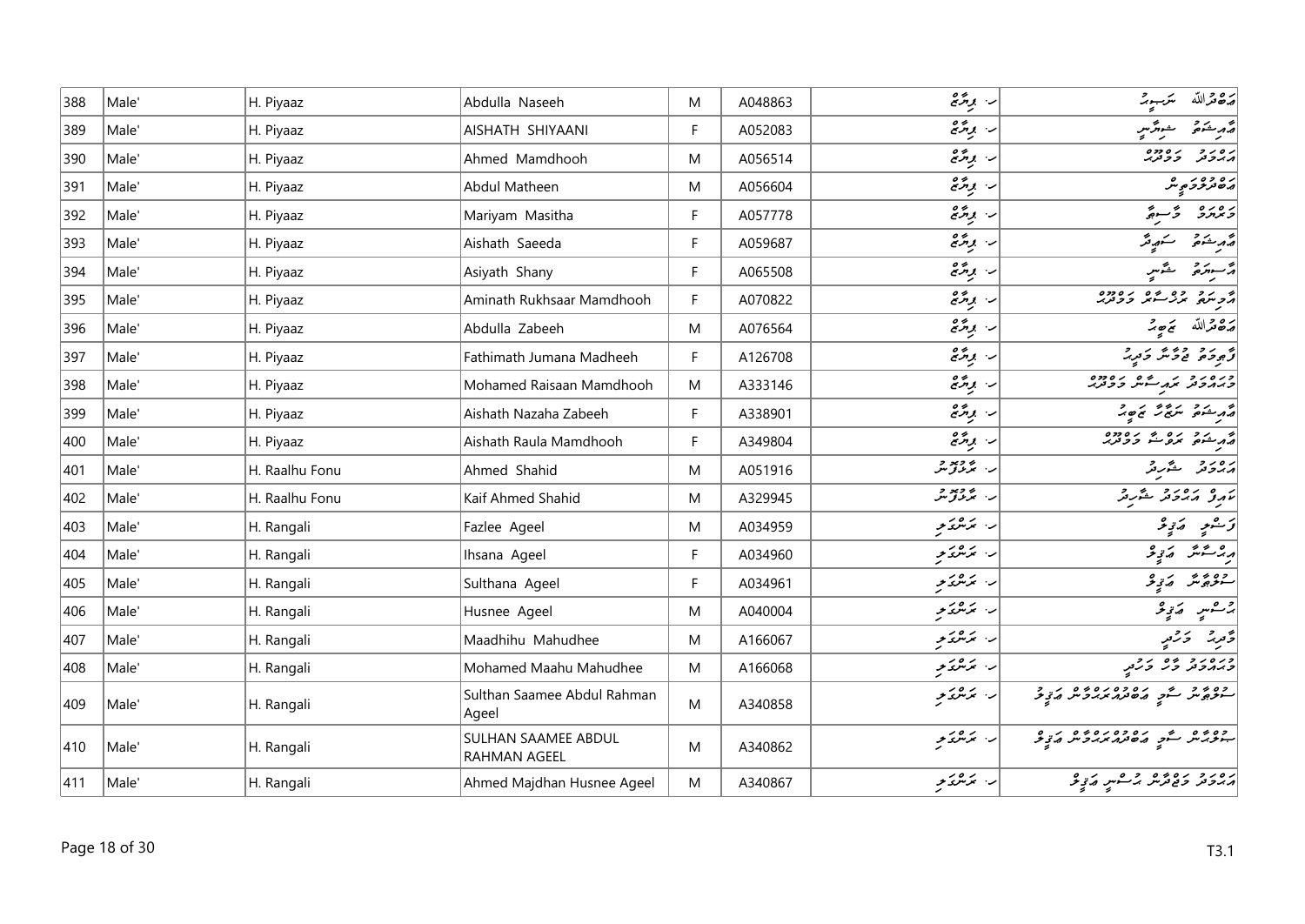| 388 | Male' | H. Piyaaz      | Abdulla Naseeh                                    | M           | A048863 | ر. بورد ج             | 505 الله مترجية                                                              |
|-----|-------|----------------|---------------------------------------------------|-------------|---------|-----------------------|------------------------------------------------------------------------------|
| 389 | Male' | H. Piyaaz      | AISHATH SHIYAANI                                  | E           | A052083 | ر. بورچ               | ۇرمىشكە ھەركىر                                                               |
| 390 | Male' | H. Piyaaz      | Ahmed Mamdhooh                                    | M           | A056514 | ر. بورچ               | נסני נסיכם<br>הגבת בכתג                                                      |
| 391 | Male' | H. Piyaaz      | Abdul Matheen                                     | M           | A056604 | ر. بورچ               | ره وه ر<br>مه مرود <sub>مو</sub> مر                                          |
| 392 | Male' | H. Piyaaz      | Mariyam Masitha                                   | F           | A057778 | ر. بورچ               | رەرە ئەسەگە                                                                  |
| 393 | Male' | H. Piyaaz      | Aishath Saeeda                                    | F           | A059687 | ر. بورگرمج            | مەر شىم ئىسىمى ئىش                                                           |
| 394 | Male' | H. Piyaaz      | Asiyath Shany                                     | F           | A065508 | ر. بورچ               | أم سورة ستوسر                                                                |
| 395 | Male' | H. Piyaaz      | Aminath Rukhsaar Mamdhooh                         | F           | A070822 | ر. بورگرمج            | و دو وه ده ده ده ده                                                          |
| 396 | Male' | H. Piyaaz      | Abdulla Zabeeh                                    | M           | A076564 | ر. بورچ               | ح قوترالله تج حوثر                                                           |
| 397 | Male' | H. Piyaaz      | Fathimath Jumana Madheeh                          | F           | A126708 | ر. بورچ               | و دو وويژ کېږد                                                               |
| 398 | Male' | H. Piyaaz      | Mohamed Raisaan Mamdhooh                          | M           | A333146 | ر. بورژی              | ورەرو بەر شەر دەەە                                                           |
| 399 | Male' | H. Piyaaz      | Aishath Nazaha Zabeeh                             | F           | A338901 | ر. بورچ               | و المستعمر المتحدث المجمع الم                                                |
| 400 | Male' | H. Piyaaz      | Aishath Raula Mamdhooh                            | F           | A349804 | ر. بورژی              | د دره ده ده ده ده ده د                                                       |
| 401 | Male' | H. Raalhu Fonu | Ahmed Shahid                                      | M           | A051916 | ر، بۇدىرە<br>ر، بۇرۇش | پره د حر مقررته<br>  پرېدونه حسمت                                            |
| 402 | Male' | H. Raalhu Fonu | Kaif Ahmed Shahid                                 | M           | A329945 | ر، بۇدىرە<br>ر، بۇرۇش | أنارو أرورو كمارو                                                            |
| 403 | Male' | H. Rangali     | Fazlee Ageel                                      | M           | A034959 | ر، ئەنگەنچە           | أقرشوا أترتوفر                                                               |
| 404 | Male' | H. Rangali     | Ihsana Ageel                                      | F           | A034960 | ر، ئەشمەر             | أرواع المتعجم أأتمام والمحياني                                               |
| 405 | Male' | H. Rangali     | Sulthana Ageel                                    | $\mathsf F$ | A034961 | ر، ئەنگەنچە           | دەپ ئەتبى                                                                    |
| 406 | Male' | H. Rangali     | Husnee Ageel                                      | M           | A040004 | ر، ئەشمەر             | ر مشهر الاتباعي                                                              |
| 407 | Male' | H. Rangali     | Maadhihu Mahudhee                                 | M           | A166067 | ر. ئەشكەم             | وحيرة وترمي                                                                  |
| 408 | Male' | H. Rangali     | Mohamed Maahu Mahudhee                            | M           | A166068 | ر. ئەشقەر             | ورەر د دە رور                                                                |
| 409 | Male' | H. Rangali     | Sulthan Saamee Abdul Rahman<br>Ageel              | M           | A340858 | ر. ئەنگەنجە           |                                                                              |
| 410 | Male' | H. Rangali     | <b>SULHAN SAAMEE ABDUL</b><br><b>RAHMAN AGEEL</b> | M           | A340862 | ر. ئەنگەنجە           | - <i>2000 گو م</i> ەدەرە 2000 كويىتى<br>سوپرىش سۇچ مەھە <i>مەيدى</i> س مەنچى |
| 411 | Male' | H. Rangali     | Ahmed Majdhan Husnee Ageel                        | M           | A340867 | ر، ئرىشى ئو           | رەرد رەپەە جەمھىر كەتبى                                                      |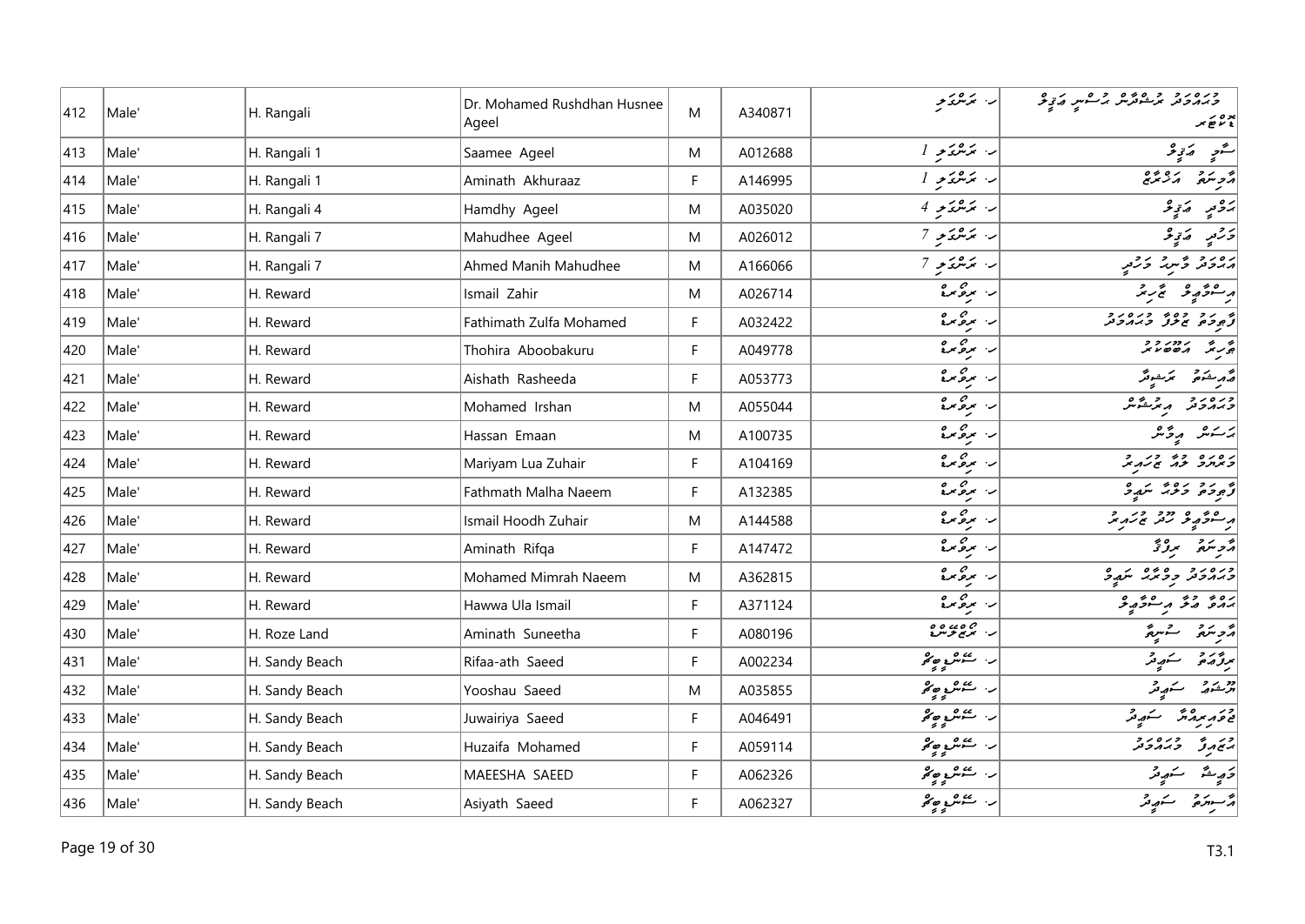| 412 | Male' | H. Rangali     | Dr. Mohamed Rushdhan Husnee<br>Ageel | M  | A340871 | ~ ئىگرىمۇ                    | ورەرد برخوش پر عسر مەيگى<br>بره بر<br>٤ نو ځا مر |
|-----|-------|----------------|--------------------------------------|----|---------|------------------------------|--------------------------------------------------|
| 413 | Male' | H. Rangali 1   | Saamee Ageel                         | M  | A012688 | ر، ئەنگەنچە 1                | گەچ كەتپىۋ                                       |
| 414 | Male' | H. Rangali 1   | Aminath Akhuraaz                     | F  | A146995 | ر. ئىگەنگە بول               | أترجع المزمري                                    |
| 415 | Male' | H. Rangali 4   | Hamdhy Ageel                         | M  | A035020 | ر، ئىرىشكە بو 4              | پروېږ کانځ وگړ                                   |
| 416 | Male' | H. Rangali 7   | Mahudhee Ageel                       | M  | A026012 | ر، برگرد 7                   | ئەرقىيە ئەتمانچە ئى                              |
| 417 | Male' | H. Rangali 7   | Ahmed Manih Mahudhee                 | M  | A166066 | ر. برمریز و 7                |                                                  |
| 418 | Male' | H. Reward      | Ismail Zahir                         | M  | A026714 | ر. بره بره                   | وستوفي في الم                                    |
| 419 | Male' | H. Reward      | Fathimath Zulfa Mohamed              | F  | A032422 | ر. بره بره                   | ء رو وه و وره رو<br>ژب <i>وده</i> با دو ديگرد    |
| 420 | Male' | H. Reward      | Thohira Aboobakuru                   | F  | A049778 | ر. بره بره                   |                                                  |
| 421 | Male' | H. Reward      | Aishath Rasheeda                     | F  | A053773 | ر مرغ مره<br>ر               | أقهر مشكاة والمتمر المتحدث                       |
| 422 | Male' | H. Reward      | Mohamed Irshan                       | M  | A055044 | ر. بره بره                   | ورەرو مەشكىر                                     |
| 423 | Male' | H. Reward      | Hassan Emaan                         | M  | A100735 | ر. برء بره                   | ير سكر مركز مر                                   |
| 424 | Male' | H. Reward      | Mariyam Lua Zuhair                   | F  | A104169 | ر، بره بره                   | 2 12 23 0101                                     |
| 425 | Male' | H. Reward      | Fathmath Malha Naeem                 | F. | A132385 | بالمحرومة                    | وتجوحه وتحدث تتمدح                               |
| 426 | Male' | H. Reward      | Ismail Hoodh Zuhair                  | M  | A144588 | ر ، بره بره                  | ر صو پو دو در بر بر                              |
| 427 | Male' | H. Reward      | Aminath Rifqa                        | F  | A147472 | ر. بره بره                   | أأزجا سيروتخ                                     |
| 428 | Male' | H. Reward      | Mohamed Mimrah Naeem                 | M  | A362815 | ر. بره بره                   | 2000 2000 0000                                   |
| 429 | Male' | H. Reward      | Hawwa Ula Ismail                     | F  | A371124 | ر. بره بره                   | رەپ دې رەپرو                                     |
| 430 | Male' | H. Roze Land   | Aminath Suneetha                     | F  | A080196 | ر به مورد و ه<br>ر به مورد د | أزويتمو سنسبقي                                   |
| 431 | Male' | H. Sandy Beach | Rifaa-ath Saeed                      | F  | A002234 | ر. سىش ھەر                   | بروژه جو سکه سکه تر                              |
| 432 | Male' | H. Sandy Beach | Yooshau Saeed                        | M  | A035855 | ر. ڪشوم گو                   | دو بر د مر در<br>  در شورد مسکوپه در             |
| 433 | Male' | H. Sandy Beach | Juwairiya Saeed                      | F  | A046491 | 8012                         | בפת מרית המבר                                    |
| 434 | Male' | H. Sandy Beach | Huzaifa Mohamed                      | F  | A059114 | ر. ڪشو ھگو                   | בזקל בגםנב                                       |
| 435 | Male' | H. Sandy Beach | MAEESHA SAEED                        | F  | A062326 | ر. سىشمو ھۇ                  | وَرِيدٌ سَرِيرٌ                                  |
| 436 | Male' | H. Sandy Beach | Asiyath Saeed                        | F. | A062327 | ر. سىش ھۇ                    | أو سود محمد المستوجد                             |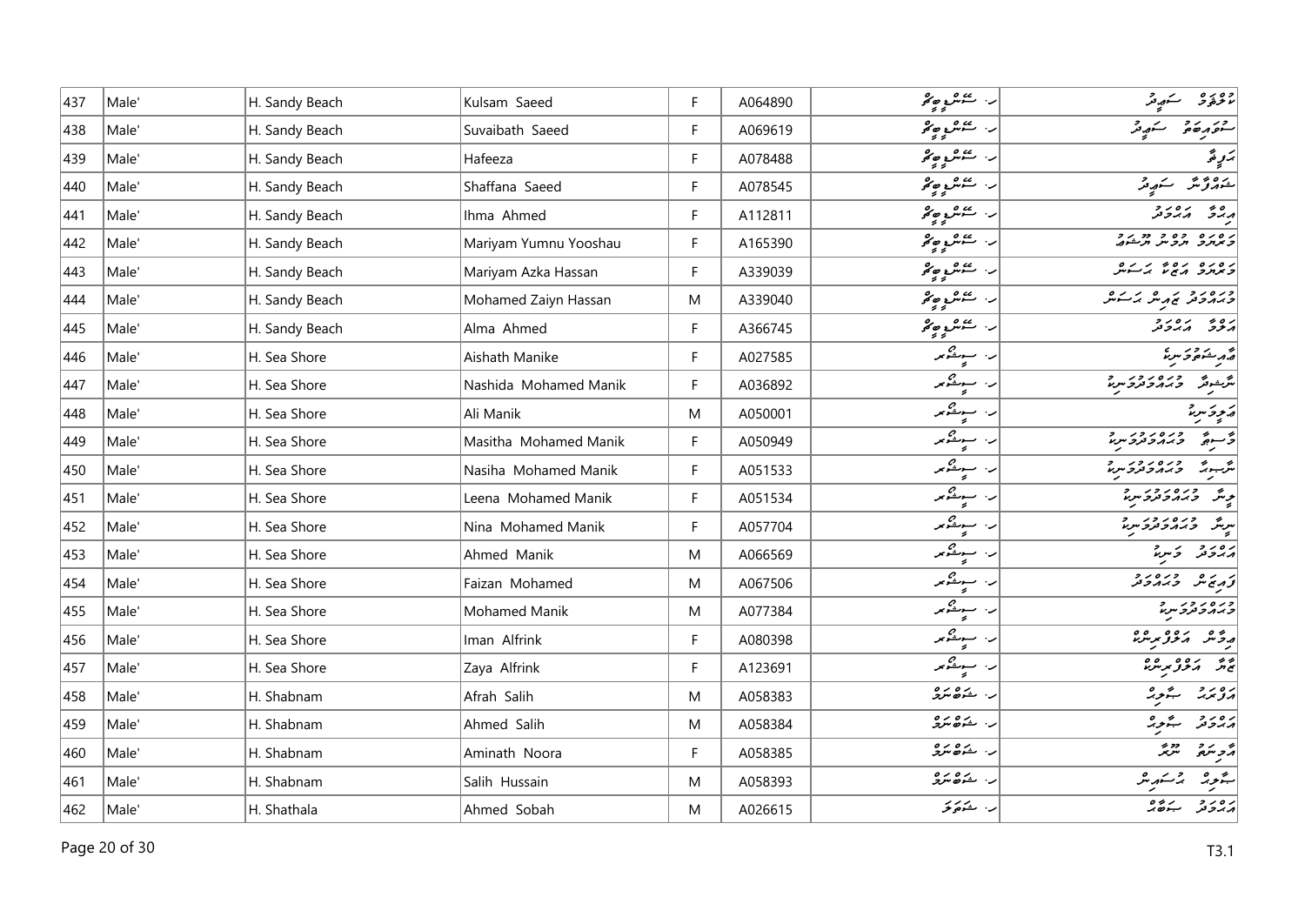| 437 | Male' | H. Sandy Beach | Kulsam Saeed          | F         | A064890 | ر. سىمىش ھەم                                                                                                                           | وه ده در کرد.<br>موفوفر سکوپین                            |
|-----|-------|----------------|-----------------------|-----------|---------|----------------------------------------------------------------------------------------------------------------------------------------|-----------------------------------------------------------|
| 438 | Male' | H. Sandy Beach | Suvaibath Saeed       | F         | A069619 | ر. سىمىش ھەم                                                                                                                           | - مؤمر صور سكور مش                                        |
| 439 | Male' | H. Sandy Beach | Hafeeza               | F         | A078488 | $\frac{2}{3}$                                                                                                                          | بزوچٌ                                                     |
| 440 | Male' | H. Sandy Beach | Shaffana Saeed        | F         | A078545 | ر. سىشدە ھۇ                                                                                                                            | شەرەپ ئەر ئى                                              |
| 441 | Male' | H. Sandy Beach | Ihma Ahmed            | F         | A112811 | ر. سگوری په په کا                                                                                                                      | دروسی دورو                                                |
| 442 | Male' | H. Sandy Beach | Mariyam Yumnu Yooshau | F         | A165390 | ر. سىشدە ھۇ                                                                                                                            | נ ס נ ס כ ס כ בר ג ר.<br>קיבו <i>ב</i> ר וברייני ובייניון |
| 443 | Male' | H. Sandy Beach | Mariyam Azka Hassan   | F         | A339039 | ر. سىمىش ھەم                                                                                                                           | ג פגם גם 4 גבית.<br>בינו <i>ת ב</i> אים גבית              |
| 444 | Male' | H. Sandy Beach | Mohamed Zaiyn Hassan  | ${\sf M}$ | A339040 | $rac{2}{3}$                                                                                                                            | ورەرو يەر ئەسكە                                           |
| 445 | Male' | H. Sandy Beach | Alma Ahmed            | F         | A366745 | ر. سىمىيە ھەمچ                                                                                                                         | برە برەرد                                                 |
| 446 | Male' | H. Sea Shore   | Aishath Manike        | F         | A027585 | ار. سوچیمه<br>——                                                                                                                       | ا مجمه شوه د سره<br>محمد شوه د سره                        |
| 447 | Male' | H. Sea Shore   | Nashida Mohamed Manik | F         | A036892 | $\begin{array}{c} \hline \begin{array}{ccc} \mathcal{O} & \mathcal{O} & \mathcal{O} \end{array} & \mathcal{O} \end{array} \end{array}$ | ת.<br>תוכנות במחכתפיתיו                                   |
| 448 | Male' | H. Sea Shore   | Ali Manik             | M         | A050001 | ار. سوشگر<br>——                                                                                                                        | اړې په دره<br>مسينه                                       |
| 449 | Male' | H. Sea Shore   | Masitha Mohamed Manik | F         | A050949 | ار.<br>__ ويقيم                                                                                                                        | ב בנסגר ביטור                                             |
| 450 | Male' | H. Sea Shore   | Nasiha Mohamed Manik  | F         | A051533 | ار. سوهیمه<br>——                                                                                                                       | ית מוכנביני                                               |
| 451 | Male' | H. Sea Shore   | Leena Mohamed Manik   | F         | A051534 | ار. سوشور<br>——                                                                                                                        | و شده دره در در د                                         |
| 452 | Male' | H. Sea Shore   | Nina Mohamed Manik    | F         | A057704 | ار، سوشۇپر<br>——                                                                                                                       | سریگر در در در در                                         |
| 453 | Male' | H. Sea Shore   | Ahmed Manik           | M         | A066569 | ار. سوشگر<br>——                                                                                                                        | رەر بەر ئەر                                               |
| 454 | Male' | H. Sea Shore   | Faizan Mohamed        | M         | A067506 | ل سوهيمه<br>——                                                                                                                         | كرم وره دو                                                |
| 455 | Male' | H. Sea Shore   | <b>Mohamed Manik</b>  | M         | A077384 | ار، سوشیمه<br>——                                                                                                                       | כנס גבע ב<br>כגוב בנבית ע                                 |
| 456 | Male' | H. Sea Shore   | Iman Alfrink          | F         | A080398 | ار.<br>است الشخص                                                                                                                       | رځند رووبرس                                               |
| 457 | Male' | H. Sea Shore   | Zaya Alfrink          | F         | A123691 | ار، سوچیمر<br>ا                                                                                                                        | יי גם פיתית.<br>גול היכל <i>ת</i> ית                      |
| 458 | Male' | H. Shabnam     | Afrah Salih           | ${\sf M}$ | A058383 | ر. خەھ ئىرو                                                                                                                            | رەرد بەر                                                  |
| 459 | Male' | H. Shabnam     | Ahmed Salih           | ${\sf M}$ | A058384 | ر. ڪوھنرو                                                                                                                              | ستحرش<br>پروژو                                            |
| 460 | Male' | H. Shabnam     | Aminath Noora         | F         | A058385 | ر. ڪوھنرو                                                                                                                              | سرپر<br>ړڅ پرېږ                                           |
| 461 | Male' | H. Shabnam     | Salih Hussain         | M         | A058393 | ر. خەھ ئىرو                                                                                                                            | بەر ئەسىر                                                 |
| 462 | Male' | H. Shathala    | Ahmed Sobah           | ${\sf M}$ | A026615 | ر. ڪوگر                                                                                                                                | رەرد بەرە                                                 |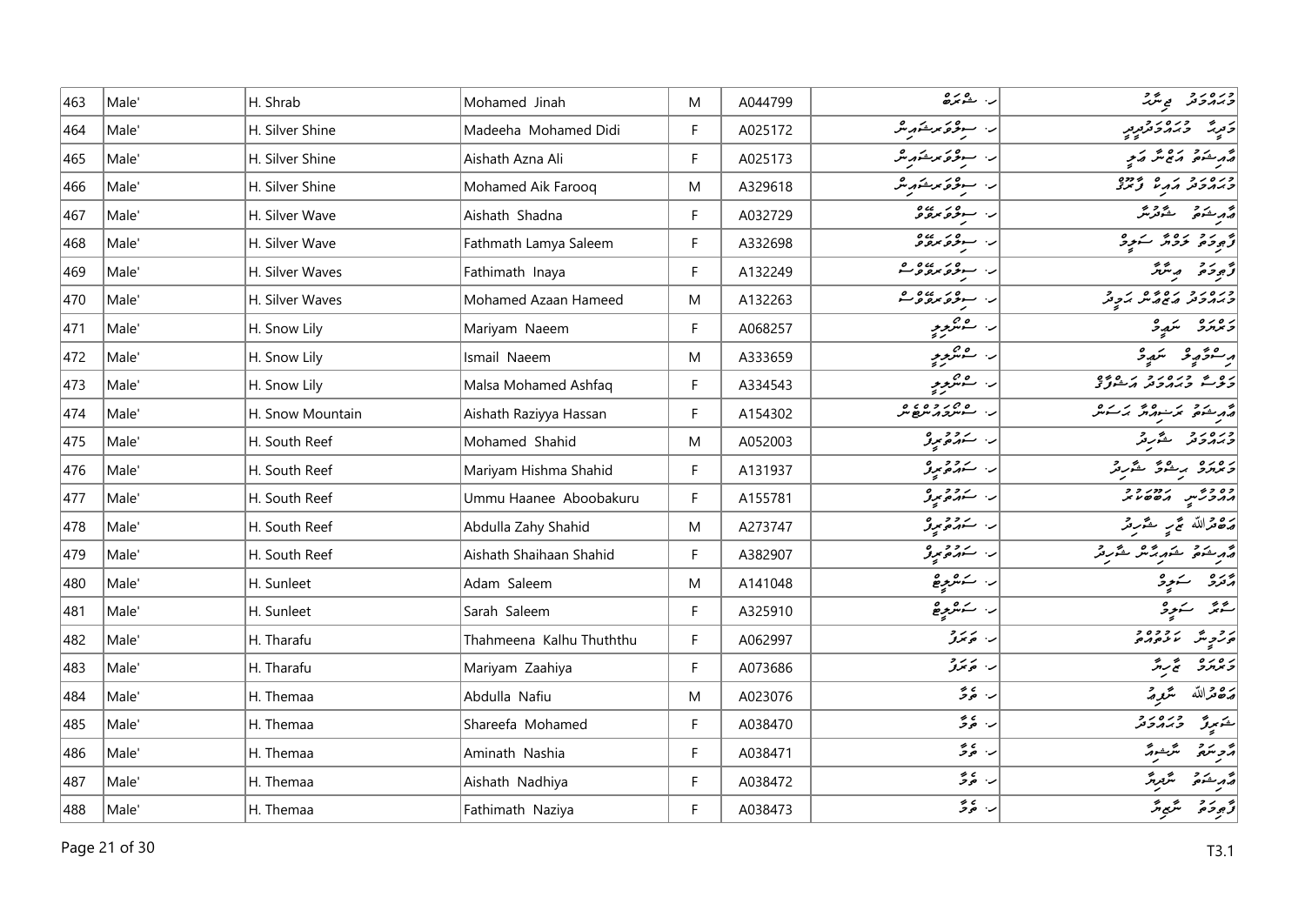| 463 | Male' | H. Shrab         | Mohamed Jinah            | M  | A044799 | ر. شەيرە              | وبرەرد ي <sub>و</sub> سم <i>د</i>            |
|-----|-------|------------------|--------------------------|----|---------|-----------------------|----------------------------------------------|
| 464 | Male' | H. Silver Shine  | Madeeha Mohamed Didi     | F  | A025172 | را سوئۇ ئەرىشىرىش     | د پرچه د د د د د د د د د د د د               |
| 465 | Male' | H. Silver Shine  | Aishath Azna Ali         | F  | A025173 | ر، سوۋە برىشەر بىر    |                                              |
| 466 | Male' | H. Silver Shine  | Mohamed Aik Farooq       | M  | A329618 | را سوۋە برىشەرىش      | ورەر د بره ورده<br>دېرمرد بربر ژبرد          |
| 467 | Male' | H. Silver Wave   | Aishath Shadna           | F  | A032729 |                       | د<br><i>دگ</i> ر شومی شگور <i>مگ</i> ر       |
| 468 | Male' | H. Silver Wave   | Fathmath Lamya Saleem    | F  | A332698 | ر. سوۋە برە دە        | وتموده دواز سود                              |
| 469 | Male' | H. Silver Waves  | Fathimath Inaya          | F  | A132249 | ر. سود ور ۵۵ ه<br>ر   | توجوخا المستمر                               |
| 470 | Male' | H. Silver Waves  | Mohamed Azaan Hameed     | M  | A132263 | ر. سود برووت          | وره رو ره ده و رو                            |
| 471 | Male' | H. Snow Lily     | Mariyam Naeem            | F  | A068257 | سيستمبر<br>رياضتر ديو | ويرووا التمدو                                |
| 472 | Male' | H. Snow Lily     | Ismail Naeem             | M  | A333659 | ر. ڪشور               | ر عۇر ئىر                                    |
| 473 | Male' | H. Snow Lily     | Malsa Mohamed Ashfaq     | E  | A334543 | ر. ڪشور               | ره شه دره رو بر موده<br>درگشت دربردند برخورد |
| 474 | Male' | H. Snow Mountain | Aishath Raziyya Hassan   | F  | A154302 | ر. ئۇرگەردە ئ         | התשים השותה השית                             |
| 475 | Male' | H. South Reef    | Mohamed Shahid           | M  | A052003 | ر، سەدە يور           | ورەرو ئەرۇ                                   |
| 476 | Male' | H. South Reef    | Mariyam Hishma Shahid    | F  | A131937 | ر، سەھەم بور          | ويرمروا برنقوق لمقربة                        |
| 477 | Male' | H. South Reef    | Ummu Haanee Aboobakuru   | F  | A155781 | ر، سىھەمچەتى بور      | כפכל נפסטת                                   |
| 478 | Male' | H. South Reef    | Abdulla Zahy Shahid      | M  | A273747 | ر، سەھەم بور          | مَهْ قَدْاللّه مَجْرٍ مُتَّمَرِ قَدْ         |
| 479 | Male' | H. South Reef    | Aishath Shaihaan Shahid  | F. | A382907 | ر، سەدە يور           | وأرخكم خررتمر خرير                           |
| 480 | Male' | H. Sunleet       | Adam Saleem              | M  | A141048 | ر. ڪئر <sub>و</sub> غ | ړ پرو کرو                                    |
| 481 | Male' | H. Sunleet       | Sarah Saleem             | F. | A325910 | ر. سەھرىي             | سەپۇ سەبەۋ                                   |
| 482 | Male' | H. Tharafu       | Thahmeena Kalhu Thuththu | F  | A062997 | ر . نوتوتو            | د د پر د ده د و د و د                        |
| 483 | Male' | H. Tharafu       | Mariyam Zaahiya          | F  | A073686 | ر . نوتوتو            | ג 2 ה 2 ה ב                                  |
| 484 | Male' | H. Themaa        | Abdulla Nafiu            | M  | A023076 | ر ، خوڅ               | شور <sup>و</sup><br>صصرالله                  |
| 485 | Male' | H. Themaa        | Shareefa Mohamed         | F  | A038470 | ر ، نوگر              | و ره ر د<br>تر پر ژمر<br>شەمرىق              |
| 486 | Male' | H. Themaa        | Aminath Nashia           | F  | A038471 | ر، نوگر               | أأدح سكرة التأريخ وأر                        |
| 487 | Male' | H. Themaa        | Aishath Nadhiya          | F  | A038472 | ر، ناد                | متزمريز<br>وگەرىشكە تە                       |
| 488 | Male' | H. Themaa        | Fathimath Naziya         | F  | A038473 | ر. ناد                | ژودۇ شەر                                     |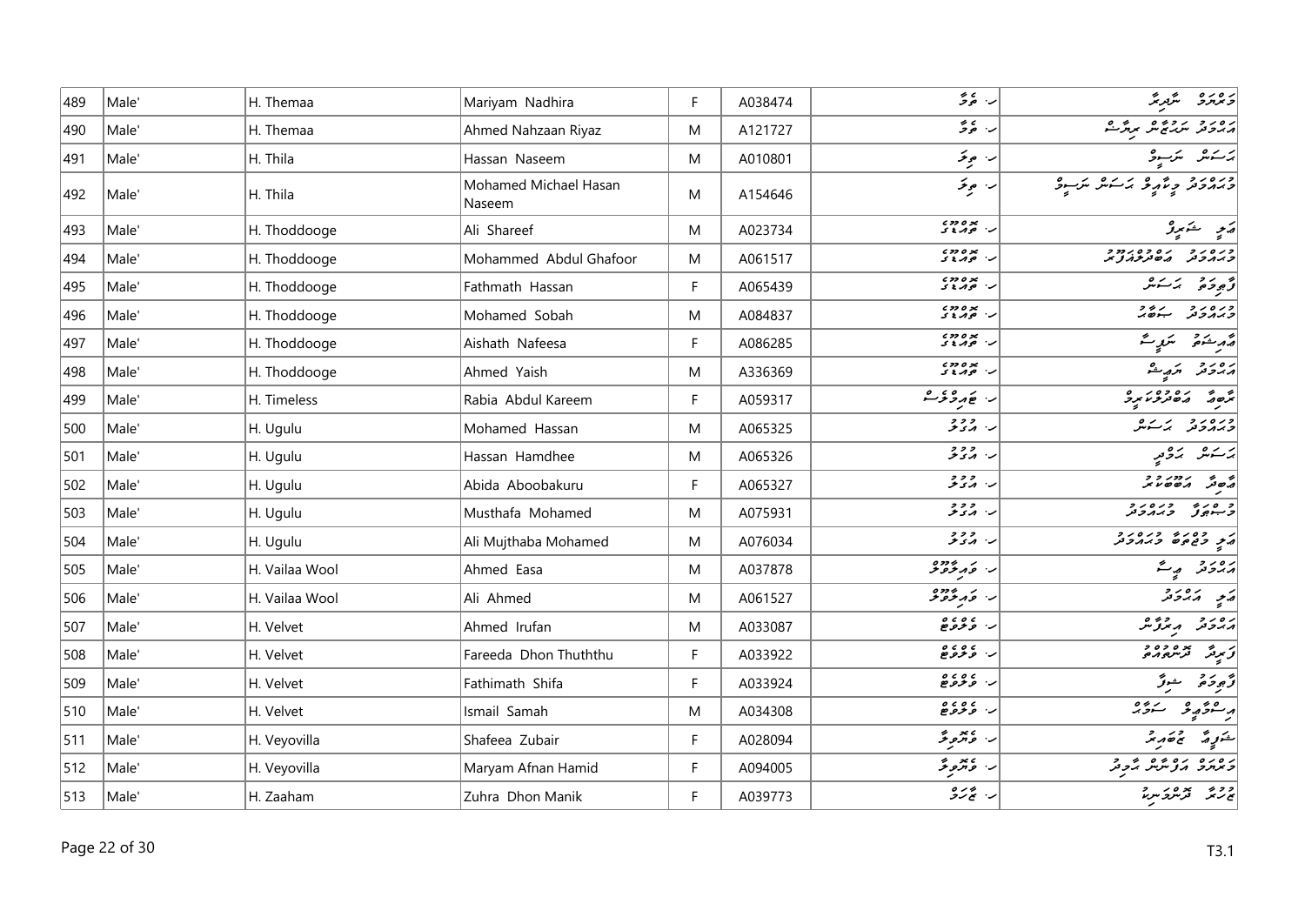| 489 | Male' | H. Themaa      | Mariyam Nadhira                 | F         | A038474 | ر ، نوگر                                                                            | د ۱۵ د محمد شرور شر                                         |
|-----|-------|----------------|---------------------------------|-----------|---------|-------------------------------------------------------------------------------------|-------------------------------------------------------------|
| 490 | Male' | H. Themaa      | Ahmed Nahzaan Riyaz             | M         | A121727 | ر ، حوث                                                                             | رورو ترویج گر برگرام<br>درون ترویج گر برگرام<br>در کال ترین |
| 491 | Male' | H. Thila       | Hassan Naseem                   | M         | A010801 | ر، مومَرَ                                                                           |                                                             |
| 492 | Male' | H. Thila       | Mohamed Michael Hasan<br>Naseem | M         | A154646 | ر. موځه                                                                             | כנסגב כשתב גבות ות-פ                                        |
| 493 | Male' | H. Thoddooge   | Ali Shareef                     | ${\sf M}$ | A023734 | $\frac{1}{2}$<br>$\frac{1}{2}$                                                      | أركمني المستكام والمحمد والمحمد                             |
| 494 | Male' | H. Thoddooge   | Mohammed Abdul Ghafoor          | M         | A061517 | $\frac{1}{2}$                                                                       | כנסנכ נספסנבכ<br><i>כג</i> וגכנ גשנק <i>ב</i> גצא           |
| 495 | Male' | H. Thoddooge   | Fathmath Hassan                 | F         | A065439 | $\frac{1}{2}$                                                                       | ۇ بۇر ئەسكىر                                                |
| 496 | Male' | H. Thoddooge   | Mohamed Sobah                   | M         | A084837 | $\frac{350 \times}{3209}$                                                           |                                                             |
| 497 | Male' | H. Thoddooge   | Aishath Nafeesa                 | F         | A086285 | $\frac{1}{5}$<br>$\frac{1}{5}$                                                      | قەرشنى سەپت                                                 |
| 498 | Male' | H. Thoddooge   | Ahmed Yaish                     | M         | A336369 | $\frac{1}{2}$                                                                       | رەرد كەيدە                                                  |
| 499 | Male' | H. Timeless    | Rabia Abdul Kareem              | F         | A059317 | ر. غږوځوگ                                                                           | بر ده د ده د د د د د                                        |
| 500 | Male' | H. Ugulu       | Mohamed Hassan                  | M         | A065325 | ر، اووو                                                                             | ورەرو پەسكىر                                                |
| 501 | Male' | H. Ugulu       | Hassan Hamdhee                  | M         | A065326 | ر، اووو                                                                             | پرستانئر   پروتین                                           |
| 502 | Male' | H. Ugulu       | Abida Aboobakuru                | F         | A065327 | ر، گەنى ئى                                                                          | $22722$ $200$                                               |
| 503 | Male' | H. Ugulu       | Musthafa Mohamed                | M         | A075931 | ر، اووو                                                                             | و ه ره د وره رو<br>د سوبونې د پر د تر                       |
| 504 | Male' | H. Ugulu       | Ali Mujthaba Mohamed            | M         | A076034 | ر، پروو                                                                             | ر ده ده دره در                                              |
| 505 | Male' | H. Vailaa Wool | Ahmed Easa                      | M         | A037878 | ر . ءَ پر پژوه                                                                      | ړه د په ځ                                                   |
| 506 | Male' | H. Vailaa Wool | Ali Ahmed                       | M         | A061527 | ر کەرگەدە                                                                           |                                                             |
| 507 | Male' | H. Velvet      | Ahmed Irufan                    | M         | A033087 | ر. ءوءه                                                                             | دەر د مەردە ھ                                               |
| 508 | Male' | H. Velvet      | Fareeda Dhon Thuththu           | F         | A033922 | ر. ءوءه                                                                             | تر به محدود و در د<br>از بریگر افزیلزده در                  |
| 509 | Male' | H. Velvet      | Fathimath Shifa                 | F         | A033924 | ر . و و ه ه<br>ر . و نورې                                                           | و محمود مع الحرار المعني في الم                             |
| 510 | Male' | H. Velvet      | Ismail Samah                    | M         | A034308 | $\begin{array}{c} \circ \circ \circ \circ \\ \circ \circ \circ \circ \end{array}$ . |                                                             |
| 511 | Male' | H. Veyovilla   | Shafeea Zubair                  | F         | A028094 | ر، ءَبِرْهِ پَرَ                                                                    | $\begin{bmatrix} 2 & 2 & 3 \\ 2 & 2 & 5 \end{bmatrix}$      |
| 512 | Male' | H. Veyovilla   | Maryam Afnan Hamid              | F         | A094005 | ر ، ءپر <sub>وگ</sub>                                                               | رەرە رەپەھ ئەدىر                                            |
| 513 | Male' | H. Zaaham      | Zuhra Dhon Manik                | F         | A039773 | ر. پچ ژو                                                                            | ے مگر میں مقدمت کی ا                                        |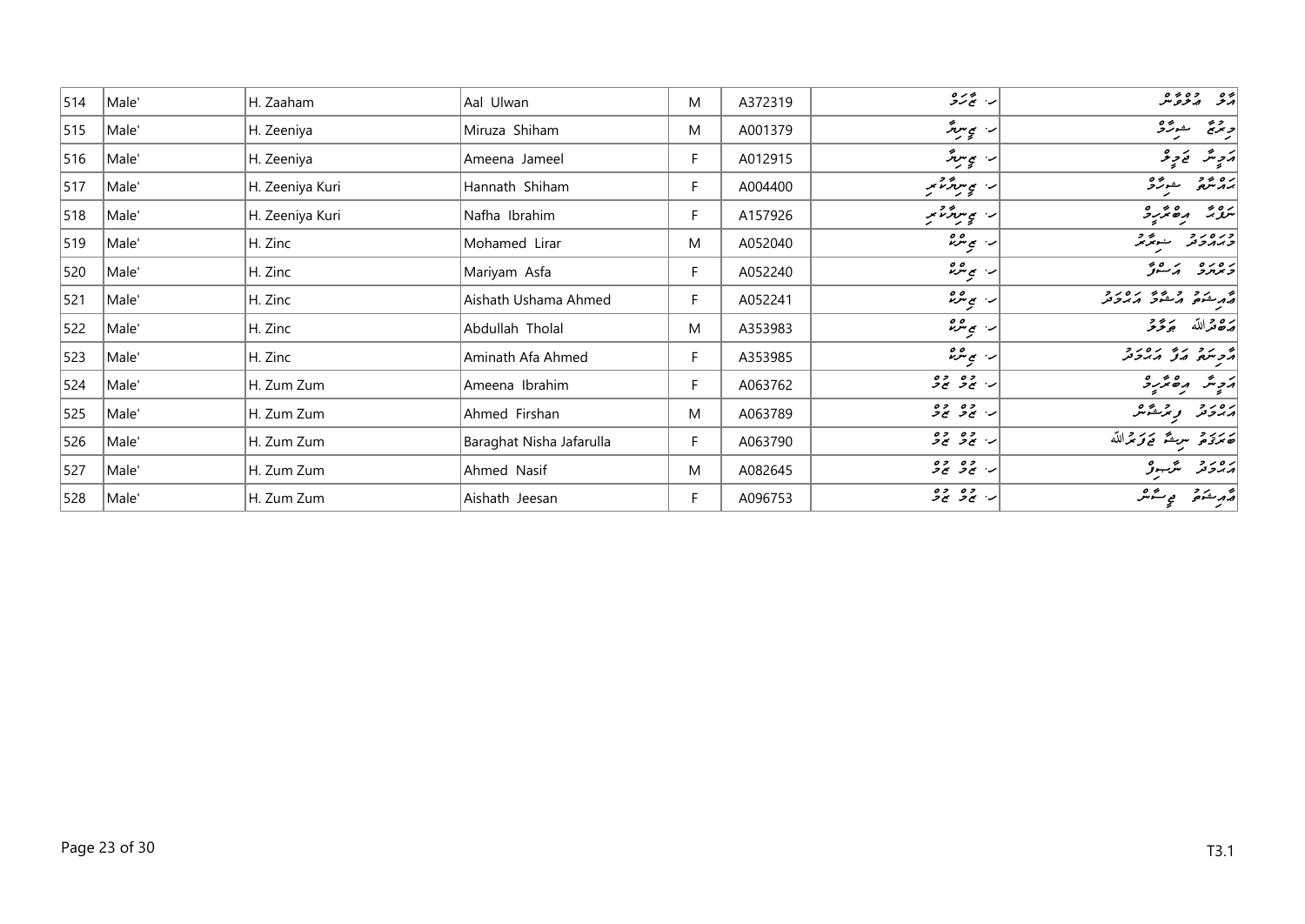| 514 | Male' | H. Zaaham       | Aal Ulwan                | M  | A372319 | ر با مج تر و        | ا ده ده ده د                                                          |
|-----|-------|-----------------|--------------------------|----|---------|---------------------|-----------------------------------------------------------------------|
| 515 | Male' | H. Zeeniya      | Miruza Shiham            | M  | A001379 | ار، سپرسر<br>در سپر | شەرگە ئ<br>لحر ترتج                                                   |
| 516 | Male' | H. Zeeniya      | Ameena Jameel            | F  | A012915 | ر. نوسردگر          | أرَدٍ سَمَّ وَ وَ وَ                                                  |
| 517 | Male' | H. Zeeniya Kuri | Hannath Shiham           | F  | A004400 | ر. پېښورمنځمنې      | پره شهږ<br>شەرگەنۇ                                                    |
| 518 | Male' | H. Zeeniya Kuri | Nafha Ibrahim            | F  | A157926 | ر. پېښورندې         | 0 30<br>  سرو پژ<br>フンメめハ                                             |
| 519 | Male' | H. Zinc         | Mohamed Lirar            | M  | A052040 | ر. بر مرمر          | <i>د بر ه ب</i> ر و<br>  <del>و</del> بر <sub>م</sub> ركز<br>سند پر ژ |
| 520 | Male' | H. Zinc         | Mariyam Asfa             | F  | A052240 | ر. بر مرمر          | ئە ئەرە<br>$\bullet$ o $\hspace{0.1cm}$                               |
| 521 | Male' | H. Zinc         | Aishath Ushama Ahmed     | F  | A052241 | ر. بر مرمر          |                                                                       |
| 522 | Male' | H. Zinc         | Abdullah Tholal          | M  | A353983 | ر. بر مرمر          | رە قراللە برۇقر                                                       |
| 523 | Male' | H. Zinc         | Aminath Afa Ahmed        | F  | A353985 | ر. بر مرمر          | ه د سره دره دره د                                                     |
| 524 | Male' | H. Zum Zum      | Ameena Ibrahim           | F  | A063762 | $38.92 - 12$        | ړَ پِسَ رِهْ ټُرِ دُ                                                  |
| 525 | Male' | H. Zum Zum      | Ahmed Firshan            | M  | A063789 | $55.55 - 12.5$      | رەر دېرىشەر                                                           |
| 526 | Male' | H. Zum Zum      | Baraghat Nisha Jafarulla | F  | A063790 | $55.55 - 12.5$      | صَمَدَةٌ حَرَّ سَرْمَةٌ ۖ صَوَمَّرْاللّهِ                             |
| 527 | Male' | H. Zum Zum      | Ahmed Nasif              | M  | A082645 | $55$ $55$ $\vee$    | پره پر په پینې و                                                      |
| 528 | Male' | H. Zum Zum      | Aishath Jeesan           | F. | A096753 | $55$ $55$ $\vee$    | أَمَّ مِ شَوْءٍ فَإِنْ سَمْسٌ                                         |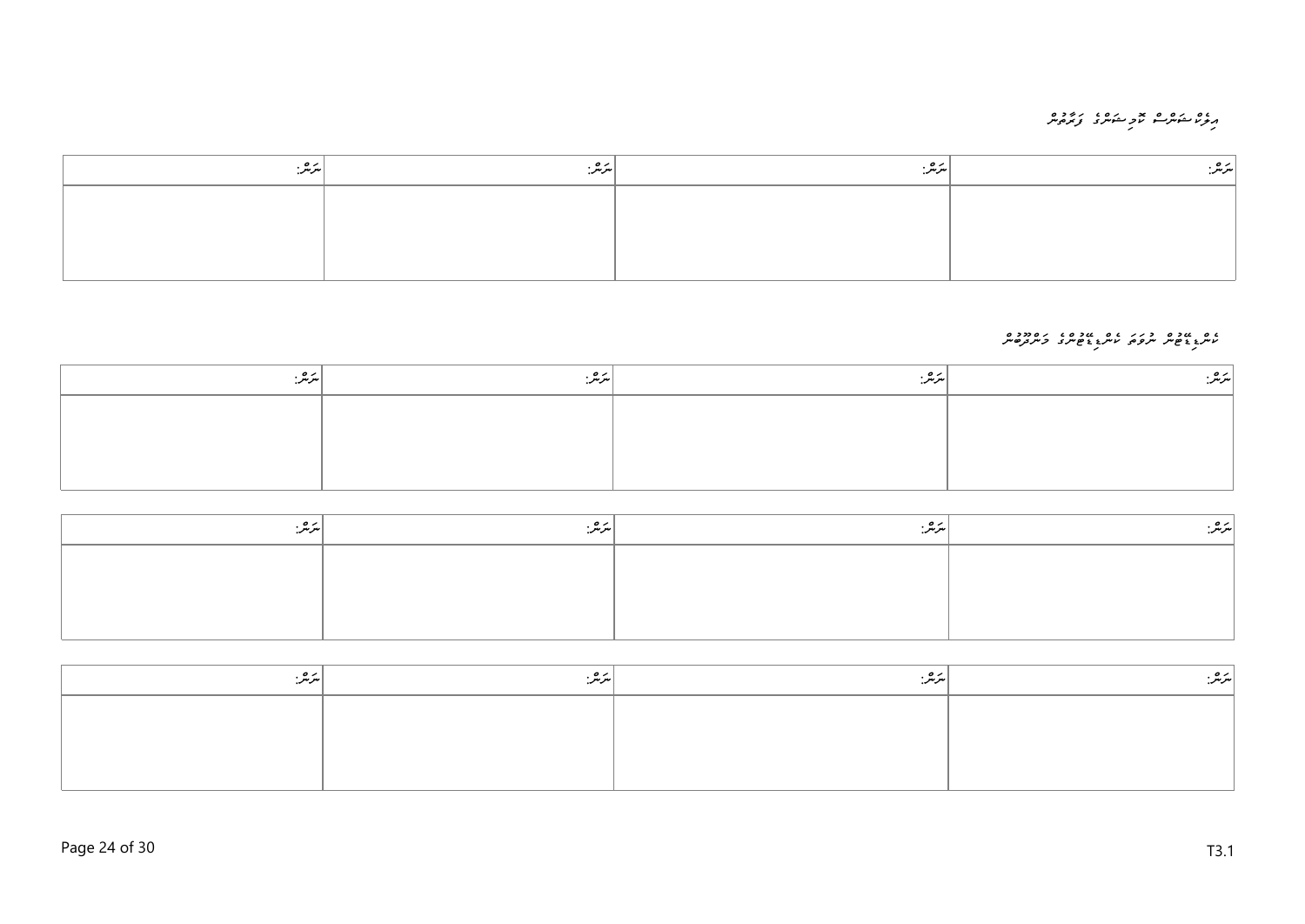## *w7qAn8m? sCw7mRo>u; wEw7mRw;sBo<*

| ' مرمر | 'يئرىثر: |
|--------|----------|
|        |          |
|        |          |
|        |          |

## *w7q9r@w7m> sCw7qHtFoFw7s; mAm=q7 w7qHtFoFw7s;*

| ىر تە | $\mathcal{O} \times$<br>$\sim$ | $\sim$<br>. . | لترنثر |
|-------|--------------------------------|---------------|--------|
|       |                                |               |        |
|       |                                |               |        |
|       |                                |               |        |

| انترنثر: | $^{\circ}$ | يبرهر | $^{\circ}$<br>سرسر |
|----------|------------|-------|--------------------|
|          |            |       |                    |
|          |            |       |                    |
|          |            |       |                    |

| ىرتىر: | 。<br>سر سر | .,<br>مرسر |
|--------|------------|------------|
|        |            |            |
|        |            |            |
|        |            |            |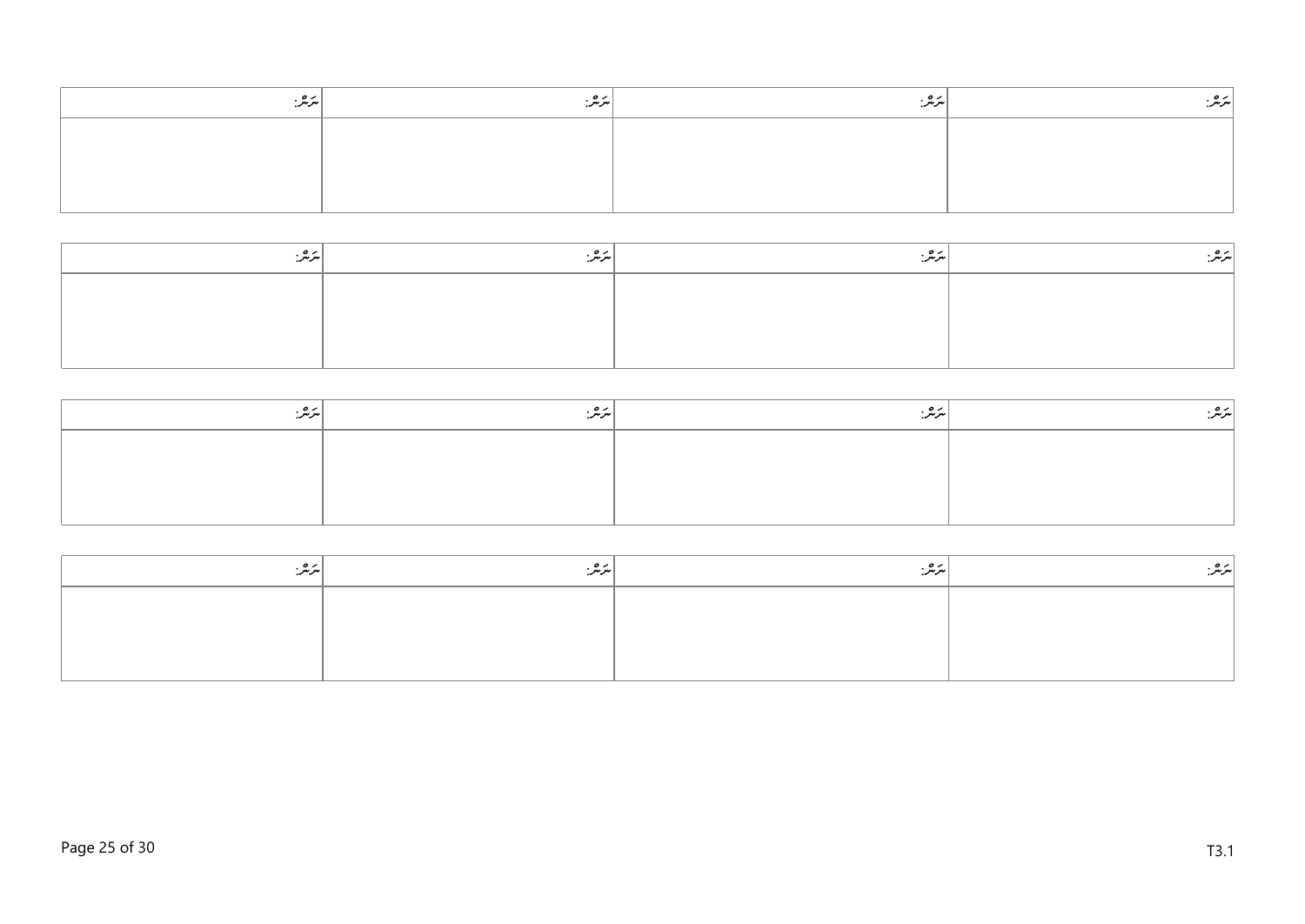| يزهر | $^{\circ}$ | ىئرىتر: |  |
|------|------------|---------|--|
|      |            |         |  |
|      |            |         |  |
|      |            |         |  |

| <sup>.</sup> سرسر. |  |
|--------------------|--|
|                    |  |
|                    |  |
|                    |  |

| ىئرىتر. | $\sim$ | ا بر هه. | لىرىش |
|---------|--------|----------|-------|
|         |        |          |       |
|         |        |          |       |
|         |        |          |       |

| 。<br>مرس. | $\overline{\phantom{a}}$<br>مر سر | يتريثر |
|-----------|-----------------------------------|--------|
|           |                                   |        |
|           |                                   |        |
|           |                                   |        |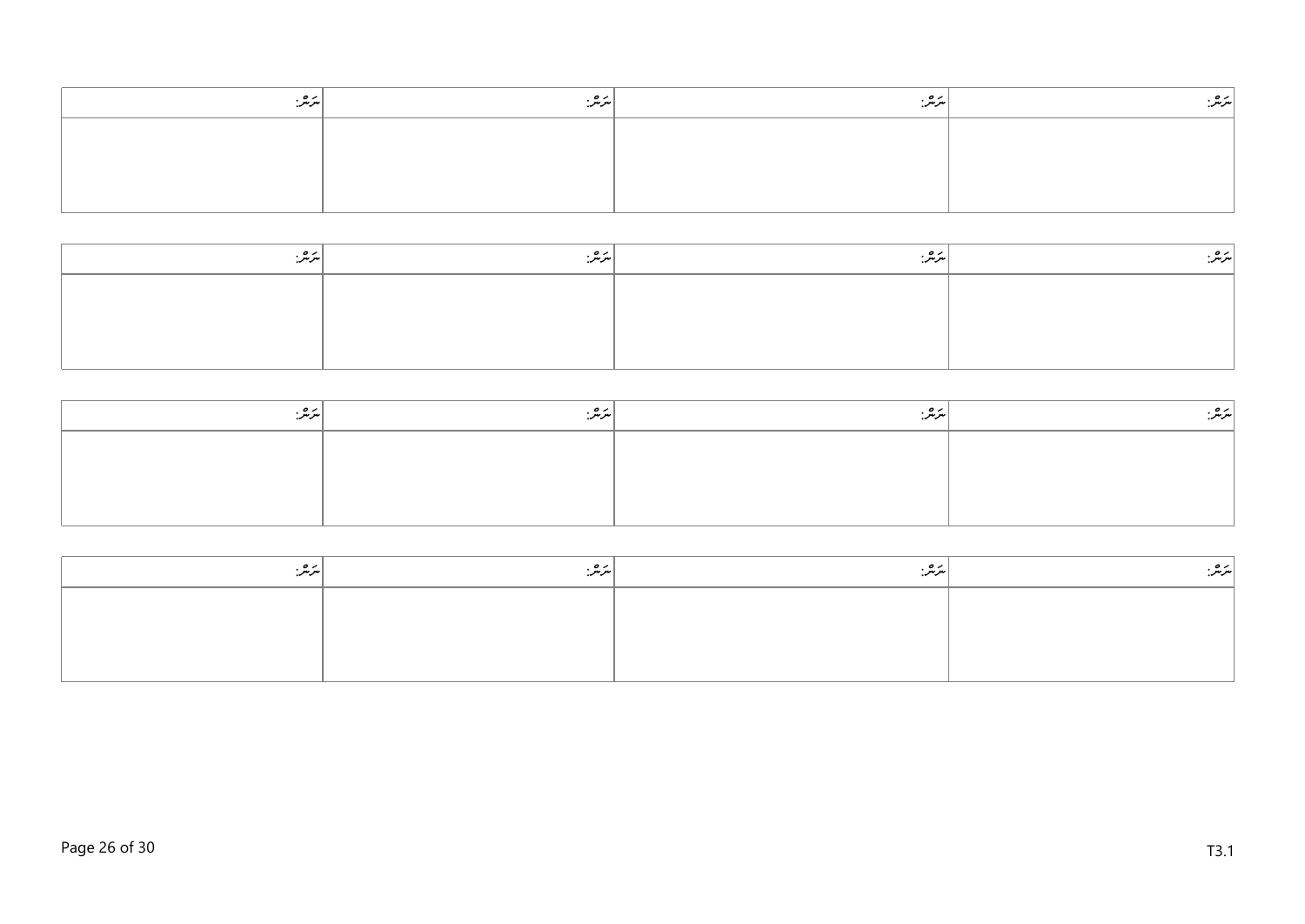| ير هو . | $\overline{\phantom{a}}$ | يرمر | اير هنه. |
|---------|--------------------------|------|----------|
|         |                          |      |          |
|         |                          |      |          |
|         |                          |      |          |

| ىر تىر: | $\circ$ $\sim$<br>" سرسر . | يبرحه | o . |
|---------|----------------------------|-------|-----|
|         |                            |       |     |
|         |                            |       |     |
|         |                            |       |     |

| انترنثر: | ر ه |  |
|----------|-----|--|
|          |     |  |
|          |     |  |
|          |     |  |

|  | . ه |
|--|-----|
|  |     |
|  |     |
|  |     |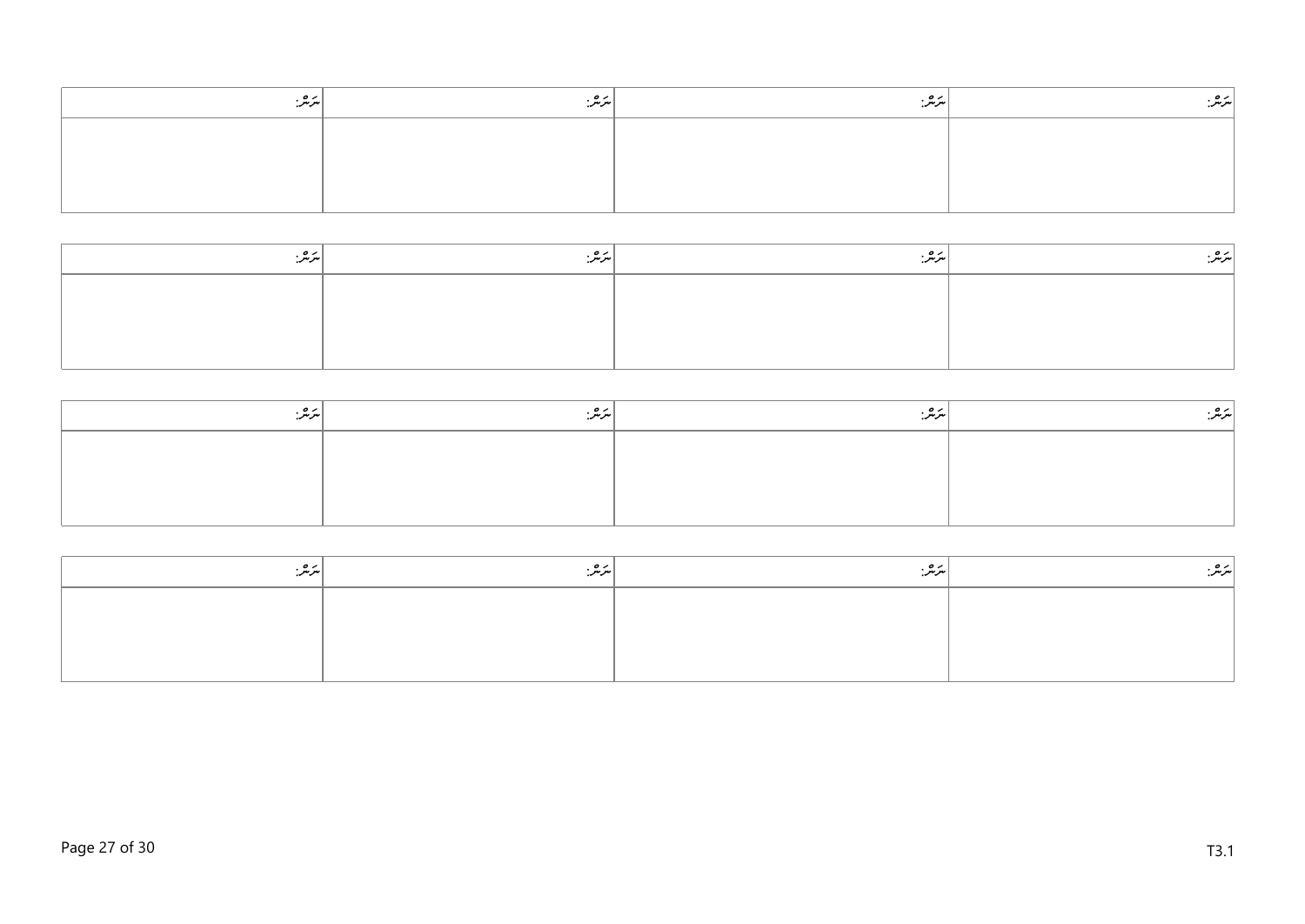| ير هو . | $\overline{\phantom{a}}$ | يرمر | اير هنه. |
|---------|--------------------------|------|----------|
|         |                          |      |          |
|         |                          |      |          |
|         |                          |      |          |

| ىر تىر: | $\circ$ $\sim$<br>" سرسر . | يبرحه | o . |
|---------|----------------------------|-------|-----|
|         |                            |       |     |
|         |                            |       |     |
|         |                            |       |     |

| 'تترنثر: | 。<br>,,,, |  |
|----------|-----------|--|
|          |           |  |
|          |           |  |
|          |           |  |

|  | . ه |
|--|-----|
|  |     |
|  |     |
|  |     |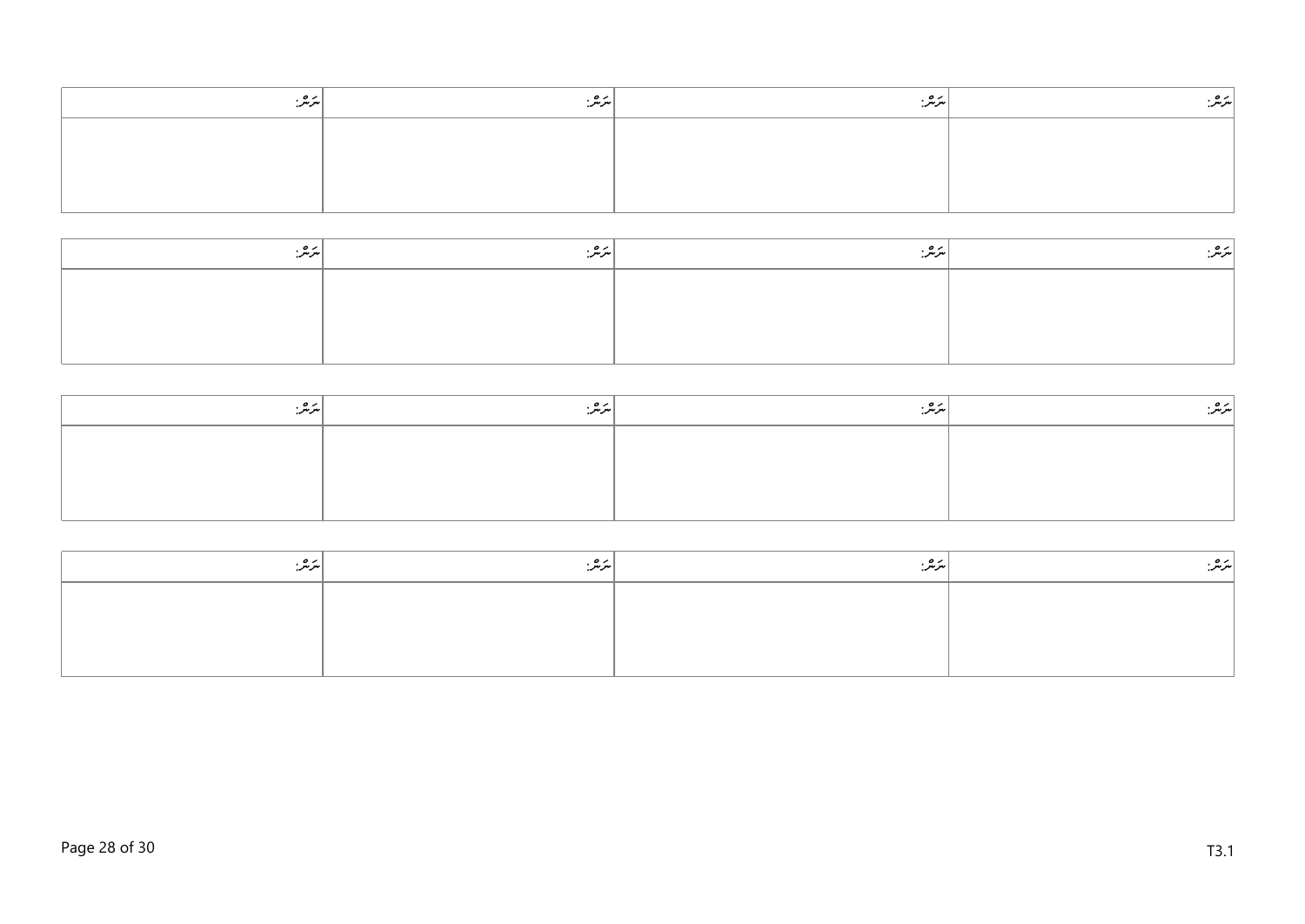| $\cdot$ | ο. | $\frac{\circ}{\cdot}$ | $\sim$<br>سرسر |
|---------|----|-----------------------|----------------|
|         |    |                       |                |
|         |    |                       |                |
|         |    |                       |                |

| ايرعر: | ر ه<br>. . |  |
|--------|------------|--|
|        |            |  |
|        |            |  |
|        |            |  |

| بر ه | 。 | $\sim$<br>َ سومس. |  |
|------|---|-------------------|--|
|      |   |                   |  |
|      |   |                   |  |
|      |   |                   |  |

| 。<br>. س | ىرىىر |  |
|----------|-------|--|
|          |       |  |
|          |       |  |
|          |       |  |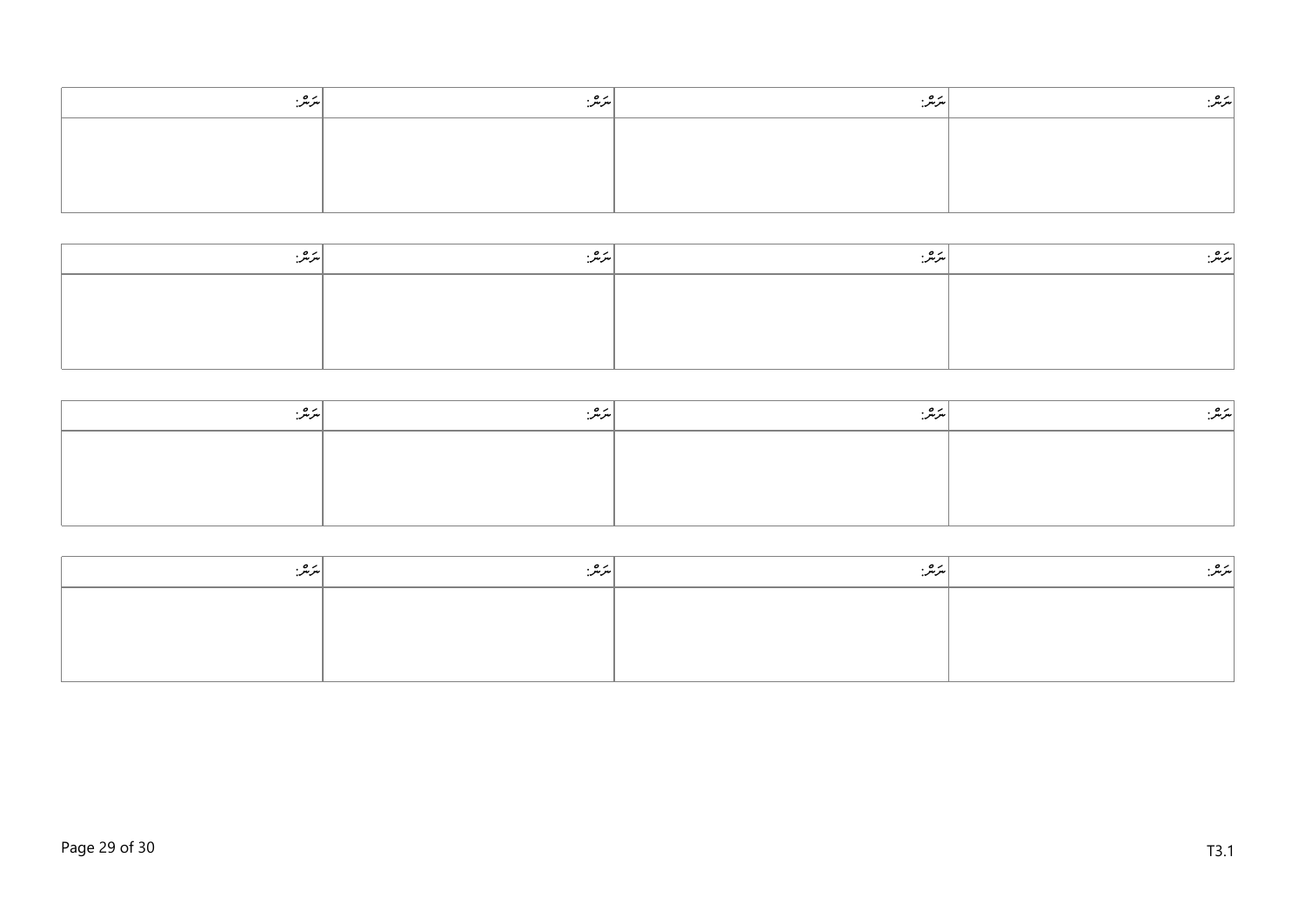| ير هو . | $\overline{\phantom{a}}$ | يرمر | لتزمثن |
|---------|--------------------------|------|--------|
|         |                          |      |        |
|         |                          |      |        |
|         |                          |      |        |

| ىر تىر: | $\circ$ $\sim$<br>" سرسر . | يبرحه | o . |
|---------|----------------------------|-------|-----|
|         |                            |       |     |
|         |                            |       |     |
|         |                            |       |     |

| انترنثر: | ر ه |  |
|----------|-----|--|
|          |     |  |
|          |     |  |
|          |     |  |

|  | . ه |
|--|-----|
|  |     |
|  |     |
|  |     |